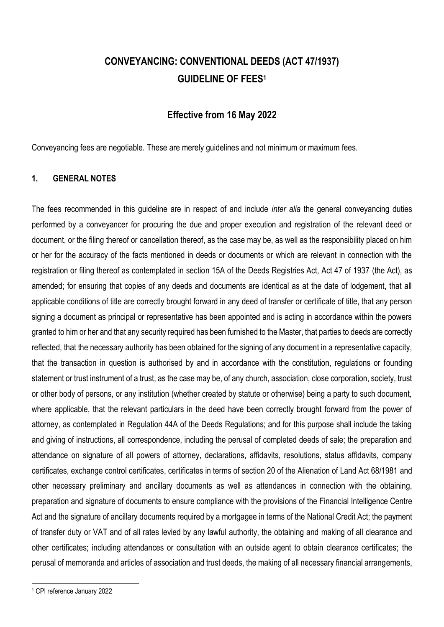# **CONVEYANCING: CONVENTIONAL DEEDS (ACT 47/1937) GUIDELINE OF FEES<sup>1</sup>**

## **Effective from 16 May 2022**

Conveyancing fees are negotiable. These are merely guidelines and not minimum or maximum fees.

#### **1. GENERAL NOTES**

The fees recommended in this guideline are in respect of and include *inter alia* the general conveyancing duties performed by a conveyancer for procuring the due and proper execution and registration of the relevant deed or document, or the filing thereof or cancellation thereof, as the case may be, as well as the responsibility placed on him or her for the accuracy of the facts mentioned in deeds or documents or which are relevant in connection with the registration or filing thereof as contemplated in section 15A of the Deeds Registries Act, Act 47 of 1937 (the Act), as amended; for ensuring that copies of any deeds and documents are identical as at the date of lodgement, that all applicable conditions of title are correctly brought forward in any deed of transfer or certificate of title, that any person signing a document as principal or representative has been appointed and is acting in accordance within the powers granted to him or her and that any security required has been furnished to the Master, that parties to deeds are correctly reflected, that the necessary authority has been obtained for the signing of any document in a representative capacity, that the transaction in question is authorised by and in accordance with the constitution, regulations or founding statement or trust instrument of a trust, as the case may be, of any church, association, close corporation, society, trust or other body of persons, or any institution (whether created by statute or otherwise) being a party to such document, where applicable, that the relevant particulars in the deed have been correctly brought forward from the power of attorney, as contemplated in Regulation 44A of the Deeds Regulations; and for this purpose shall include the taking and giving of instructions, all correspondence, including the perusal of completed deeds of sale; the preparation and attendance on signature of all powers of attorney, declarations, affidavits, resolutions, status affidavits, company certificates, exchange control certificates, certificates in terms of section 20 of the Alienation of Land Act 68/1981 and other necessary preliminary and ancillary documents as well as attendances in connection with the obtaining, preparation and signature of documents to ensure compliance with the provisions of the Financial Intelligence Centre Act and the signature of ancillary documents required by a mortgagee in terms of the National Credit Act; the payment of transfer duty or VAT and of all rates levied by any lawful authority, the obtaining and making of all clearance and other certificates; including attendances or consultation with an outside agent to obtain clearance certificates; the perusal of memoranda and articles of association and trust deeds, the making of all necessary financial arrangements,

<sup>1</sup> CPI reference January 2022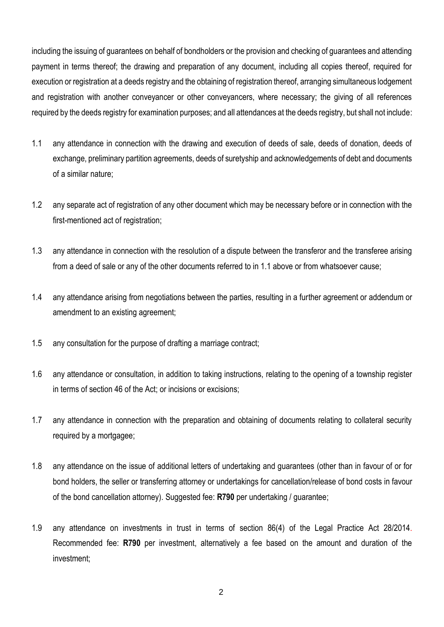including the issuing of guarantees on behalf of bondholders or the provision and checking of guarantees and attending payment in terms thereof; the drawing and preparation of any document, including all copies thereof, required for execution or registration at a deeds registry and the obtaining of registration thereof, arranging simultaneous lodgement and registration with another conveyancer or other conveyancers, where necessary; the giving of all references required by the deeds registry for examination purposes; and all attendances at the deeds registry, but shall not include:

- 1.1 any attendance in connection with the drawing and execution of deeds of sale, deeds of donation, deeds of exchange, preliminary partition agreements, deeds of suretyship and acknowledgements of debt and documents of a similar nature;
- 1.2 any separate act of registration of any other document which may be necessary before or in connection with the first-mentioned act of registration;
- 1.3 any attendance in connection with the resolution of a dispute between the transferor and the transferee arising from a deed of sale or any of the other documents referred to in 1.1 above or from whatsoever cause;
- 1.4 any attendance arising from negotiations between the parties, resulting in a further agreement or addendum or amendment to an existing agreement;
- 1.5 any consultation for the purpose of drafting a marriage contract;
- 1.6 any attendance or consultation, in addition to taking instructions, relating to the opening of a township register in terms of section 46 of the Act; or incisions or excisions;
- 1.7 any attendance in connection with the preparation and obtaining of documents relating to collateral security required by a mortgagee;
- 1.8 any attendance on the issue of additional letters of undertaking and guarantees (other than in favour of or for bond holders, the seller or transferring attorney or undertakings for cancellation/release of bond costs in favour of the bond cancellation attorney). Suggested fee: **R790** per undertaking / guarantee;
- 1.9 any attendance on investments in trust in terms of section 86(4) of the Legal Practice Act 28/2014. Recommended fee: **R790** per investment, alternatively a fee based on the amount and duration of the investment;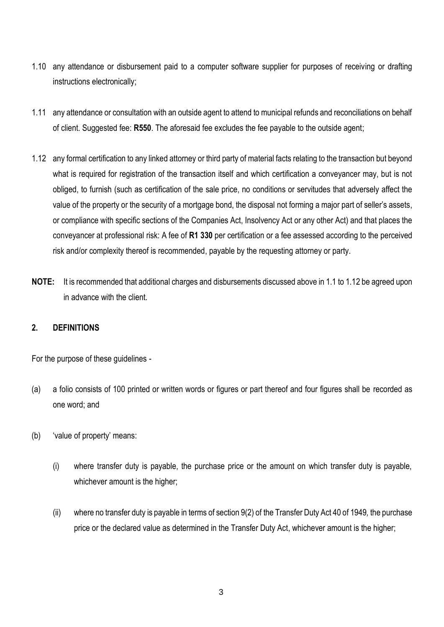- 1.10 any attendance or disbursement paid to a computer software supplier for purposes of receiving or drafting instructions electronically;
- 1.11 any attendance or consultation with an outside agent to attend to municipal refunds and reconciliations on behalf of client. Suggested fee: **R550**. The aforesaid fee excludes the fee payable to the outside agent;
- 1.12 any formal certification to any linked attorney or third party of material facts relating to the transaction but beyond what is required for registration of the transaction itself and which certification a conveyancer may, but is not obliged, to furnish (such as certification of the sale price, no conditions or servitudes that adversely affect the value of the property or the security of a mortgage bond, the disposal not forming a major part of seller's assets, or compliance with specific sections of the Companies Act, Insolvency Act or any other Act) and that places the conveyancer at professional risk: A fee of **R1 330** per certification or a fee assessed according to the perceived risk and/or complexity thereof is recommended, payable by the requesting attorney or party.
- **NOTE:** It is recommended that additional charges and disbursements discussed above in 1.1 to 1.12 be agreed upon in advance with the client.

### **2. DEFINITIONS**

For the purpose of these guidelines -

- (a) a folio consists of 100 printed or written words or figures or part thereof and four figures shall be recorded as one word; and
- (b) 'value of property' means:
	- (i) where transfer duty is payable, the purchase price or the amount on which transfer duty is payable, whichever amount is the higher;
	- (ii) where no transfer duty is payable in terms of section 9(2) of the Transfer Duty Act 40 of 1949*,* the purchase price or the declared value as determined in the Transfer Duty Act, whichever amount is the higher;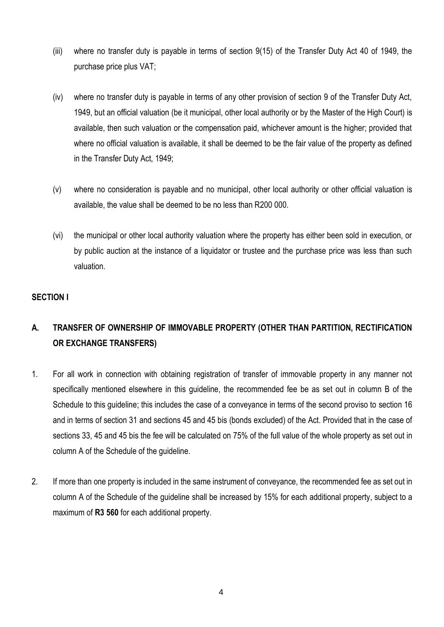- (iii) where no transfer duty is payable in terms of section 9(15) of the Transfer Duty Act 40 of 1949, the purchase price plus VAT;
- (iv) where no transfer duty is payable in terms of any other provision of section 9 of the Transfer Duty Act, 1949, but an official valuation (be it municipal, other local authority or by the Master of the High Court) is available, then such valuation or the compensation paid, whichever amount is the higher; provided that where no official valuation is available, it shall be deemed to be the fair value of the property as defined in the Transfer Duty Act, 1949;
- (v) where no consideration is payable and no municipal, other local authority or other official valuation is available, the value shall be deemed to be no less than R200 000.
- (vi) the municipal or other local authority valuation where the property has either been sold in execution, or by public auction at the instance of a liquidator or trustee and the purchase price was less than such valuation.

## **SECTION I**

## **A. TRANSFER OF OWNERSHIP OF IMMOVABLE PROPERTY (OTHER THAN PARTITION, RECTIFICATION OR EXCHANGE TRANSFERS)**

- 1. For all work in connection with obtaining registration of transfer of immovable property in any manner not specifically mentioned elsewhere in this guideline, the recommended fee be as set out in column B of the Schedule to this guideline; this includes the case of a conveyance in terms of the second proviso to section 16 and in terms of section 31 and sections 45 and 45 bis (bonds excluded) of the Act. Provided that in the case of sections 33, 45 and 45 bis the fee will be calculated on 75% of the full value of the whole property as set out in column A of the Schedule of the guideline.
- 2. If more than one property is included in the same instrument of conveyance, the recommended fee as set out in column A of the Schedule of the guideline shall be increased by 15% for each additional property, subject to a maximum of **R3 560** for each additional property.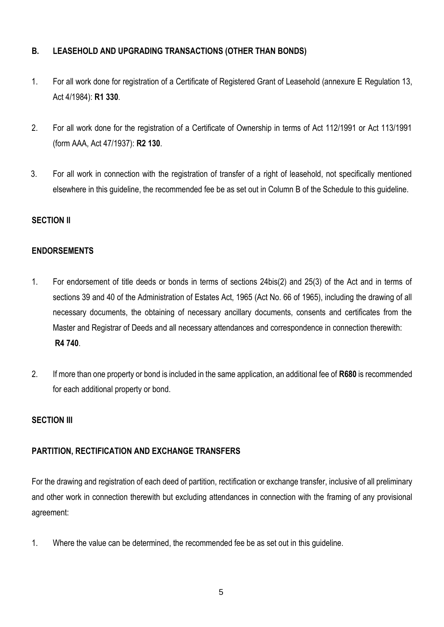## **B. LEASEHOLD AND UPGRADING TRANSACTIONS (OTHER THAN BONDS)**

- 1. For all work done for registration of a Certificate of Registered Grant of Leasehold (annexure E Regulation 13, Act 4/1984): **R1 330**.
- 2. For all work done for the registration of a Certificate of Ownership in terms of Act 112/1991 or Act 113/1991 (form AAA, Act 47/1937): **R2 130**.
- 3. For all work in connection with the registration of transfer of a right of leasehold, not specifically mentioned elsewhere in this guideline, the recommended fee be as set out in Column B of the Schedule to this guideline.

## **SECTION ll**

## **ENDORSEMENTS**

- 1. For endorsement of title deeds or bonds in terms of sections 24bis(2) and 25(3) of the Act and in terms of sections 39 and 40 of the Administration of Estates Act, 1965 (Act No. 66 of 1965), including the drawing of all necessary documents, the obtaining of necessary ancillary documents, consents and certificates from the Master and Registrar of Deeds and all necessary attendances and correspondence in connection therewith: **R4 740**.
- 2. If more than one property or bond is included in the same application, an additional fee of **R680** is recommended for each additional property or bond.

### **SECTION III**

## **PARTITION, RECTIFICATION AND EXCHANGE TRANSFERS**

For the drawing and registration of each deed of partition, rectification or exchange transfer, inclusive of all preliminary and other work in connection therewith but excluding attendances in connection with the framing of any provisional agreement:

1. Where the value can be determined, the recommended fee be as set out in this guideline.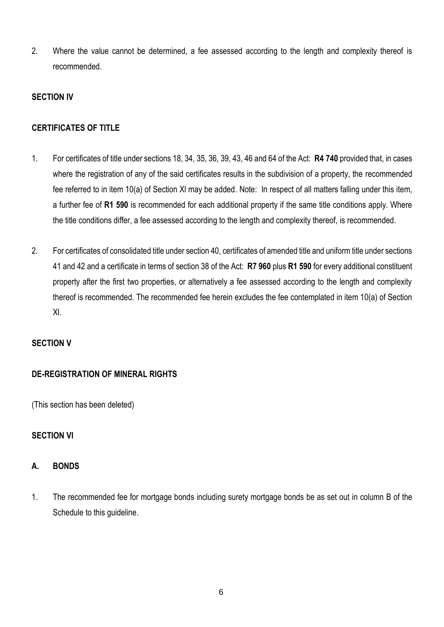2. Where the value cannot be determined, a fee assessed according to the length and complexity thereof is recommended.

## **SECTION IV**

## **CERTIFICATES OF TITLE**

- 1. For certificates of title under sections 18, 34, 35, 36, 39, 43, 46 and 64 of the Act: **R4 740** provided that, in cases where the registration of any of the said certificates results in the subdivision of a property, the recommended fee referred to in item 10(a) of Section Xl may be added. Note: In respect of all matters falling under this item, a further fee of **R1 590** is recommended for each additional property if the same title conditions apply. Where the title conditions differ, a fee assessed according to the length and complexity thereof, is recommended.
- 2. For certificates of consolidated title under section 40, certificates of amended title and uniform title under sections 41 and 42 and a certificate in terms of section 38 of the Act: **R7 960** plus **R1 590** for every additional constituent property after the first two properties, or alternatively a fee assessed according to the length and complexity thereof is recommended. The recommended fee herein excludes the fee contemplated in item 10(a) of Section Xl.

## **SECTION V**

## **DE-REGISTRATION OF MINERAL RIGHTS**

(This section has been deleted)

## **SECTION VI**

## **A. BONDS**

1. The recommended fee for mortgage bonds including surety mortgage bonds be as set out in column B of the Schedule to this guideline.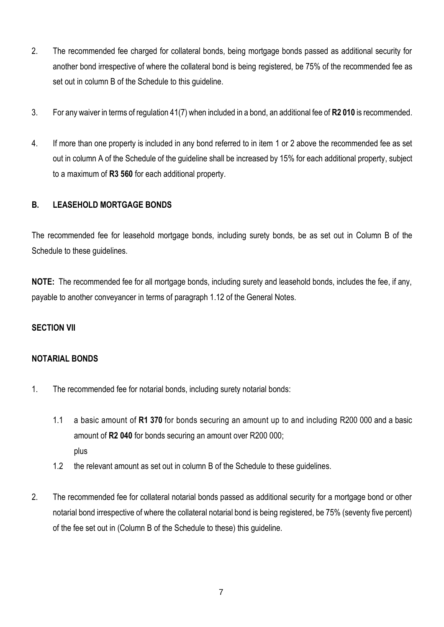- 2. The recommended fee charged for collateral bonds, being mortgage bonds passed as additional security for another bond irrespective of where the collateral bond is being registered, be 75% of the recommended fee as set out in column B of the Schedule to this guideline.
- 3. For any waiver in terms of regulation 41(7) when included in a bond, an additional fee of **R2 010** is recommended.
- 4. If more than one property is included in any bond referred to in item 1 or 2 above the recommended fee as set out in column A of the Schedule of the guideline shall be increased by 15% for each additional property, subject to a maximum of **R3 560** for each additional property.

## **B. LEASEHOLD MORTGAGE BONDS**

The recommended fee for leasehold mortgage bonds, including surety bonds, be as set out in Column B of the Schedule to these guidelines.

**NOTE:** The recommended fee for all mortgage bonds, including surety and leasehold bonds, includes the fee, if any, payable to another conveyancer in terms of paragraph 1.12 of the General Notes.

### **SECTION VII**

### **NOTARIAL BONDS**

- 1. The recommended fee for notarial bonds, including surety notarial bonds:
	- 1.1 a basic amount of **R1 370** for bonds securing an amount up to and including R200 000 and a basic amount of **R2 040** for bonds securing an amount over R200 000; plus
	- 1.2 the relevant amount as set out in column B of the Schedule to these guidelines.
- 2. The recommended fee for collateral notarial bonds passed as additional security for a mortgage bond or other notarial bond irrespective of where the collateral notarial bond is being registered, be 75% (seventy five percent) of the fee set out in (Column B of the Schedule to these) this guideline.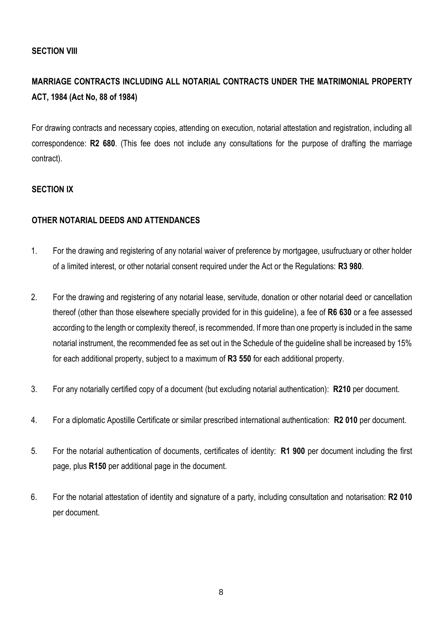### **SECTION VIII**

## **MARRIAGE CONTRACTS INCLUDING ALL NOTARIAL CONTRACTS UNDER THE MATRIMONIAL PROPERTY ACT, 1984 (Act No, 88 of 1984)**

For drawing contracts and necessary copies, attending on execution, notarial attestation and registration, including all correspondence: **R2 680**. (This fee does not include any consultations for the purpose of drafting the marriage contract).

### **SECTION IX**

### **OTHER NOTARIAL DEEDS AND ATTENDANCES**

- 1. For the drawing and registering of any notarial waiver of preference by mortgagee, usufructuary or other holder of a limited interest, or other notarial consent required under the Act or the Regulations: **R3 980**.
- 2. For the drawing and registering of any notarial lease, servitude, donation or other notarial deed or cancellation thereof (other than those elsewhere specially provided for in this guideline), a fee of **R6 630** or a fee assessed according to the length or complexity thereof, is recommended. If more than one property is included in the same notarial instrument, the recommended fee as set out in the Schedule of the guideline shall be increased by 15% for each additional property, subject to a maximum of **R3 550** for each additional property.
- 3. For any notarially certified copy of a document (but excluding notarial authentication): **R210** per document.
- 4. For a diplomatic Apostille Certificate or similar prescribed international authentication: **R2 010** per document.
- 5. For the notarial authentication of documents, certificates of identity: **R1 900** per document including the first page, plus **R150** per additional page in the document.
- 6. For the notarial attestation of identity and signature of a party, including consultation and notarisation: **R2 010** per document.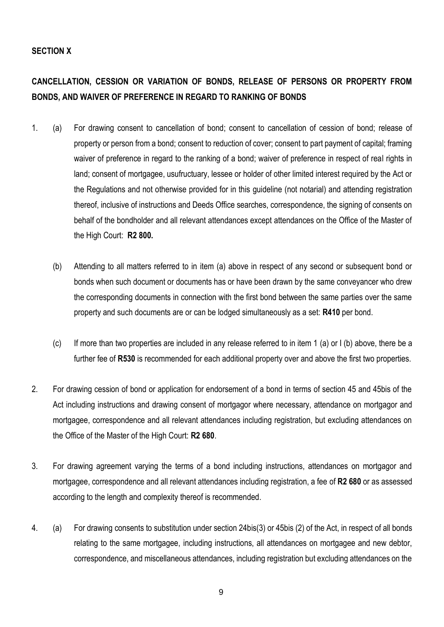### **SECTION X**

## **CANCELLATION, CESSION OR VARIATION OF BONDS, RELEASE OF PERSONS OR PROPERTY FROM BONDS, AND WAIVER OF PREFERENCE IN REGARD TO RANKING OF BONDS**

- 1. (a) For drawing consent to cancellation of bond; consent to cancellation of cession of bond; release of property or person from a bond; consent to reduction of cover; consent to part payment of capital; framing waiver of preference in regard to the ranking of a bond; waiver of preference in respect of real rights in land; consent of mortgagee, usufructuary, lessee or holder of other limited interest required by the Act or the Regulations and not otherwise provided for in this guideline (not notarial) and attending registration thereof, inclusive of instructions and Deeds Office searches, correspondence, the signing of consents on behalf of the bondholder and all relevant attendances except attendances on the Office of the Master of the High Court: **R2 800.**
	- (b) Attending to all matters referred to in item (a) above in respect of any second or subsequent bond or bonds when such document or documents has or have been drawn by the same conveyancer who drew the corresponding documents in connection with the first bond between the same parties over the same property and such documents are or can be lodged simultaneously as a set: **R410** per bond.
	- (c) If more than two properties are included in any release referred to in item 1 (a) or I (b) above, there be a further fee of **R530** is recommended for each additional property over and above the first two properties.
- 2. For drawing cession of bond or application for endorsement of a bond in terms of section 45 and 45bis of the Act including instructions and drawing consent of mortgagor where necessary, attendance on mortgagor and mortgagee, correspondence and all relevant attendances including registration, but excluding attendances on the Office of the Master of the High Court: **R2 680**.
- 3. For drawing agreement varying the terms of a bond including instructions, attendances on mortgagor and mortgagee, correspondence and all relevant attendances including registration, a fee of **R2 680** or as assessed according to the length and complexity thereof is recommended.
- 4. (a) For drawing consents to substitution under section 24bis(3) or 45bis (2) of the Act, in respect of all bonds relating to the same mortgagee, including instructions, all attendances on mortgagee and new debtor, correspondence, and miscellaneous attendances, including registration but excluding attendances on the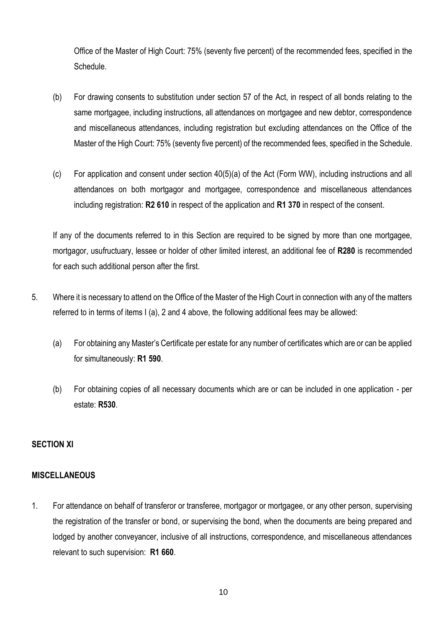Office of the Master of High Court: 75% (seventy five percent) of the recommended fees, specified in the Schedule.

- (b) For drawing consents to substitution under section 57 of the Act, in respect of all bonds relating to the same mortgagee, including instructions, all attendances on mortgagee and new debtor, correspondence and miscellaneous attendances, including registration but excluding attendances on the Office of the Master of the High Court: 75% (seventy five percent) of the recommended fees, specified in the Schedule.
- (c) For application and consent under section 40(5)(a) of the Act (Form WW), including instructions and all attendances on both mortgagor and mortgagee, correspondence and miscellaneous attendances including registration: **R2 610** in respect of the application and **R1 370** in respect of the consent.

If any of the documents referred to in this Section are required to be signed by more than one mortgagee, mortgagor, usufructuary, lessee or holder of other limited interest, an additional fee of **R280** is recommended for each such additional person after the first.

- 5. Where it is necessary to attend on the Office of the Master of the High Court in connection with any of the matters referred to in terms of items I (a), 2 and 4 above, the following additional fees may be allowed:
	- (a) For obtaining any Master's Certificate per estate for any number of certificates which are or can be applied for simultaneously: **R1 590**.
	- (b) For obtaining copies of all necessary documents which are or can be included in one application per estate: **R530**.

### **SECTION XI**

### **MISCELLANEOUS**

1. For attendance on behalf of transferor or transferee, mortgagor or mortgagee, or any other person, supervising the registration of the transfer or bond, or supervising the bond, when the documents are being prepared and lodged by another conveyancer, inclusive of all instructions, correspondence, and miscellaneous attendances relevant to such supervision: **R1 660**.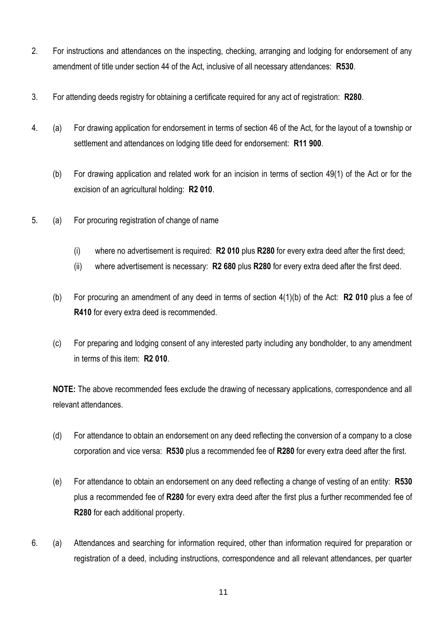- 2. For instructions and attendances on the inspecting, checking, arranging and lodging for endorsement of any amendment of title under section 44 of the Act, inclusive of all necessary attendances: **R530**.
- 3. For attending deeds registry for obtaining a certificate required for any act of registration: **R280**.
- 4. (a) For drawing application for endorsement in terms of section 46 of the Act, for the layout of a township or settlement and attendances on lodging title deed for endorsement: **R11 900**.
	- (b) For drawing application and related work for an incision in terms of section 49(1) of the Act or for the excision of an agricultural holding: **R2 010**.
- 5. (a) For procuring registration of change of name
	- (i) where no advertisement is required: **R2 010** plus **R280** for every extra deed after the first deed;
	- (ii) where advertisement is necessary: **R2 680** plus **R280** for every extra deed after the first deed.
	- (b) For procuring an amendment of any deed in terms of section 4(1)(b) of the Act: **R2 010** plus a fee of **R410** for every extra deed is recommended.
	- (c) For preparing and lodging consent of any interested party including any bondholder, to any amendment in terms of this item: **R2 010**.

**NOTE:** The above recommended fees exclude the drawing of necessary applications, correspondence and all relevant attendances.

- (d) For attendance to obtain an endorsement on any deed reflecting the conversion of a company to a close corporation and vice versa: **R530** plus a recommended fee of **R280** for every extra deed after the first.
- (e) For attendance to obtain an endorsement on any deed reflecting a change of vesting of an entity: **R530** plus a recommended fee of **R280** for every extra deed after the first plus a further recommended fee of **R280** for each additional property.
- 6. (a) Attendances and searching for information required, other than information required for preparation or registration of a deed, including instructions, correspondence and all relevant attendances, per quarter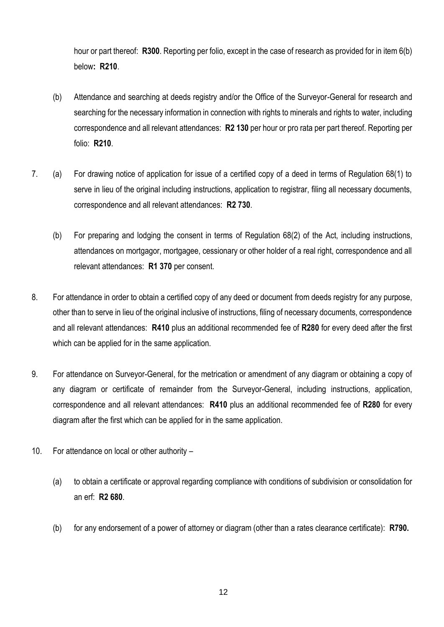hour or part thereof: **R300**. Reporting per folio, except in the case of research as provided for in item 6(b) below**: R210**.

- (b) Attendance and searching at deeds registry and/or the Office of the Surveyor-General for research and searching for the necessary information in connection with rights to minerals and rights to water, including correspondence and all relevant attendances: **R2 130** per hour or pro rata per part thereof. Reporting per folio: **R210**.
- 7. (a) For drawing notice of application for issue of a certified copy of a deed in terms of Regulation 68(1) to serve in lieu of the original including instructions, application to registrar, filing all necessary documents, correspondence and all relevant attendances: **R2 730**.
	- (b) For preparing and lodging the consent in terms of Regulation 68(2) of the Act, including instructions, attendances on mortgagor, mortgagee, cessionary or other holder of a real right, correspondence and all relevant attendances: **R1 370** per consent.
- 8. For attendance in order to obtain a certified copy of any deed or document from deeds registry for any purpose, other than to serve in lieu of the original inclusive of instructions, filing of necessary documents, correspondence and all relevant attendances: **R410** plus an additional recommended fee of **R280** for every deed after the first which can be applied for in the same application.
- 9. For attendance on Surveyor-General, for the metrication or amendment of any diagram or obtaining a copy of any diagram or certificate of remainder from the Surveyor-General, including instructions, application, correspondence and all relevant attendances: **R410** plus an additional recommended fee of **R280** for every diagram after the first which can be applied for in the same application.
- 10. For attendance on local or other authority
	- (a) to obtain a certificate or approval regarding compliance with conditions of subdivision or consolidation for an erf: **R2 680**.
	- (b) for any endorsement of a power of attorney or diagram (other than a rates clearance certificate): **R790.**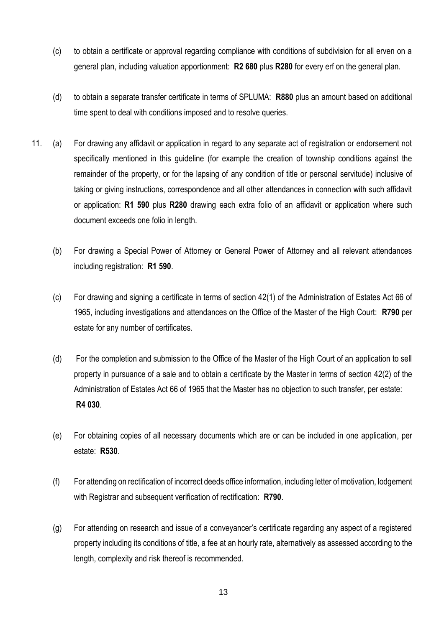- (c) to obtain a certificate or approval regarding compliance with conditions of subdivision for all erven on a general plan, including valuation apportionment: **R2 680** plus **R280** for every erf on the general plan.
- (d) to obtain a separate transfer certificate in terms of SPLUMA: **R880** plus an amount based on additional time spent to deal with conditions imposed and to resolve queries.
- 11. (a) For drawing any affidavit or application in regard to any separate act of registration or endorsement not specifically mentioned in this guideline (for example the creation of township conditions against the remainder of the property, or for the lapsing of any condition of title or personal servitude) inclusive of taking or giving instructions, correspondence and all other attendances in connection with such affidavit or application: **R1 590** plus **R280** drawing each extra folio of an affidavit or application where such document exceeds one folio in length.
	- (b) For drawing a Special Power of Attorney or General Power of Attorney and all relevant attendances including registration: **R1 590**.
	- (c) For drawing and signing a certificate in terms of section 42(1) of the Administration of Estates Act 66 of 1965, including investigations and attendances on the Office of the Master of the High Court: **R790** per estate for any number of certificates.
	- (d) For the completion and submission to the Office of the Master of the High Court of an application to sell property in pursuance of a sale and to obtain a certificate by the Master in terms of section 42(2) of the Administration of Estates Act 66 of 1965 that the Master has no objection to such transfer, per estate: **R4 030**.
	- (e) For obtaining copies of all necessary documents which are or can be included in one application, per estate: **R530**.
	- (f) For attending on rectification of incorrect deeds office information, including letter of motivation, lodgement with Registrar and subsequent verification of rectification: **R790**.
	- (g) For attending on research and issue of a conveyancer's certificate regarding any aspect of a registered property including its conditions of title, a fee at an hourly rate, alternatively as assessed according to the length, complexity and risk thereof is recommended.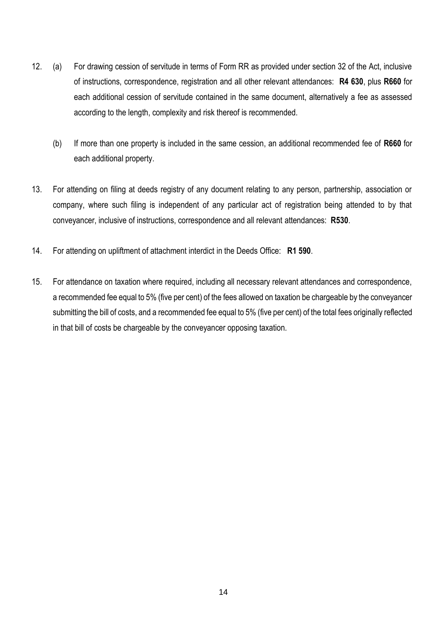- 12. (a) For drawing cession of servitude in terms of Form RR as provided under section 32 of the Act, inclusive of instructions, correspondence, registration and all other relevant attendances: **R4 630**, plus **R660** for each additional cession of servitude contained in the same document, alternatively a fee as assessed according to the length, complexity and risk thereof is recommended.
	- (b) If more than one property is included in the same cession, an additional recommended fee of **R660** for each additional property.
- 13. For attending on filing at deeds registry of any document relating to any person, partnership, association or company, where such filing is independent of any particular act of registration being attended to by that conveyancer, inclusive of instructions, correspondence and all relevant attendances: **R530**.
- 14. For attending on upliftment of attachment interdict in the Deeds Office: **R1 590**.
- 15. For attendance on taxation where required, including all necessary relevant attendances and correspondence, a recommended fee equal to 5% (five per cent) of the fees allowed on taxation be chargeable by the conveyancer submitting the bill of costs, and a recommended fee equal to 5% (five per cent) of the total fees originally reflected in that bill of costs be chargeable by the conveyancer opposing taxation.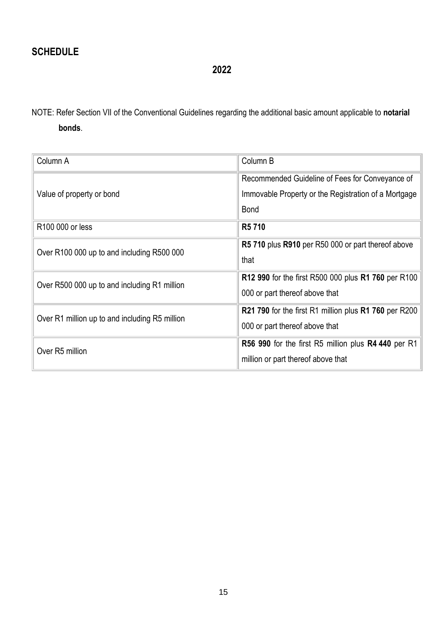**2022**

NOTE: Refer Section VII of the Conventional Guidelines regarding the additional basic amount applicable to **notarial bonds**.

| Column A                                       | Column B                                                                                                               |
|------------------------------------------------|------------------------------------------------------------------------------------------------------------------------|
| Value of property or bond                      | Recommended Guideline of Fees for Conveyance of<br>Immovable Property or the Registration of a Mortgage<br><b>Bond</b> |
| R100 000 or less                               | R <sub>5</sub> 710                                                                                                     |
| Over R100 000 up to and including R500 000     | R5 710 plus R910 per R50 000 or part thereof above<br>that                                                             |
| Over R500 000 up to and including R1 million   | R12 990 for the first R500 000 plus R1 760 per R100<br>000 or part thereof above that                                  |
| Over R1 million up to and including R5 million | R21 790 for the first R1 million plus R1 760 per R200<br>000 or part thereof above that                                |
| Over R5 million                                | R56 990 for the first R5 million plus R4 440 per R1<br>million or part thereof above that                              |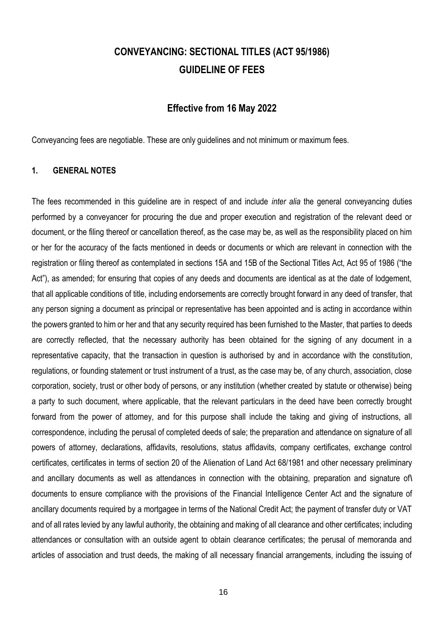# **CONVEYANCING: SECTIONAL TITLES (ACT 95/1986) GUIDELINE OF FEES**

### **Effective from 16 May 2022**

Conveyancing fees are negotiable. These are only guidelines and not minimum or maximum fees.

### **1. GENERAL NOTES**

The fees recommended in this guideline are in respect of and include *inter alia* the general conveyancing duties performed by a conveyancer for procuring the due and proper execution and registration of the relevant deed or document, or the filing thereof or cancellation thereof, as the case may be, as well as the responsibility placed on him or her for the accuracy of the facts mentioned in deeds or documents or which are relevant in connection with the registration or filing thereof as contemplated in sections 15A and 15B of the Sectional Titles Act, Act 95 of 1986 ("the Act"), as amended; for ensuring that copies of any deeds and documents are identical as at the date of lodgement, that all applicable conditions of title, including endorsements are correctly brought forward in any deed of transfer, that any person signing a document as principal or representative has been appointed and is acting in accordance within the powers granted to him or her and that any security required has been furnished to the Master, that parties to deeds are correctly reflected, that the necessary authority has been obtained for the signing of any document in a representative capacity, that the transaction in question is authorised by and in accordance with the constitution, regulations, or founding statement or trust instrument of a trust, as the case may be, of any church, association, close corporation, society, trust or other body of persons, or any institution (whether created by statute or otherwise) being a party to such document, where applicable, that the relevant particulars in the deed have been correctly brought forward from the power of attorney, and for this purpose shall include the taking and giving of instructions, all correspondence, including the perusal of completed deeds of sale; the preparation and attendance on signature of all powers of attorney, declarations, affidavits, resolutions, status affidavits, company certificates, exchange control certificates, certificates in terms of section 20 of the Alienation of Land Act 68/1981 and other necessary preliminary and ancillary documents as well as attendances in connection with the obtaining, preparation and signature of**\** documents to ensure compliance with the provisions of the Financial Intelligence Center Act and the signature of ancillary documents required by a mortgagee in terms of the National Credit Act; the payment of transfer duty or VAT and of all rates levied by any lawful authority, the obtaining and making of all clearance and other certificates; including attendances or consultation with an outside agent to obtain clearance certificates; the perusal of memoranda and articles of association and trust deeds, the making of all necessary financial arrangements, including the issuing of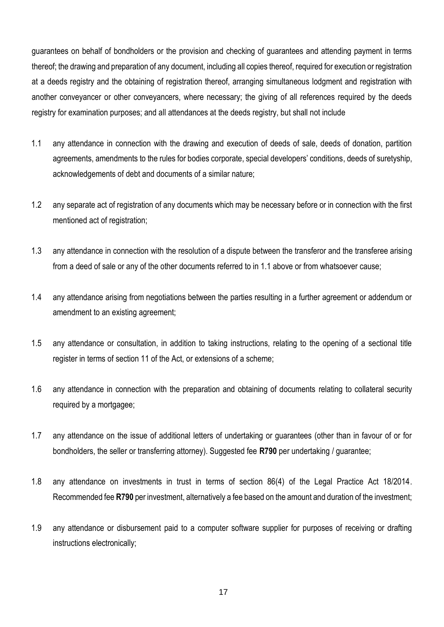guarantees on behalf of bondholders or the provision and checking of guarantees and attending payment in terms thereof; the drawing and preparation of any document, including all copies thereof, required for execution or registration at a deeds registry and the obtaining of registration thereof, arranging simultaneous lodgment and registration with another conveyancer or other conveyancers, where necessary; the giving of all references required by the deeds registry for examination purposes; and all attendances at the deeds registry, but shall not include

- 1.1 any attendance in connection with the drawing and execution of deeds of sale, deeds of donation, partition agreements, amendments to the rules for bodies corporate, special developers' conditions, deeds of suretyship, acknowledgements of debt and documents of a similar nature;
- 1.2 any separate act of registration of any documents which may be necessary before or in connection with the first mentioned act of registration;
- 1.3 any attendance in connection with the resolution of a dispute between the transferor and the transferee arising from a deed of sale or any of the other documents referred to in 1.1 above or from whatsoever cause;
- 1.4 any attendance arising from negotiations between the parties resulting in a further agreement or addendum or amendment to an existing agreement;
- 1.5 any attendance or consultation, in addition to taking instructions, relating to the opening of a sectional title register in terms of section 11 of the Act, or extensions of a scheme;
- 1.6 any attendance in connection with the preparation and obtaining of documents relating to collateral security required by a mortgagee;
- 1.7 any attendance on the issue of additional letters of undertaking or guarantees (other than in favour of or for bondholders, the seller or transferring attorney). Suggested fee **R790** per undertaking / guarantee;
- 1.8 any attendance on investments in trust in terms of section 86(4) of the Legal Practice Act 18/2014. Recommended fee **R790** per investment, alternatively a fee based on the amount and duration of the investment;
- 1.9 any attendance or disbursement paid to a computer software supplier for purposes of receiving or drafting instructions electronically;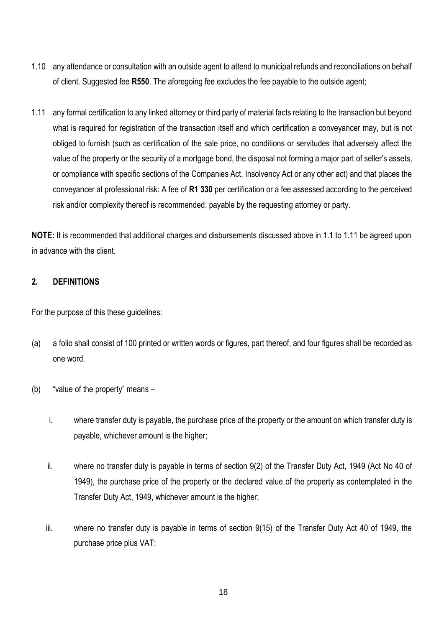- 1.10 any attendance or consultation with an outside agent to attend to municipal refunds and reconciliations on behalf of client. Suggested fee **R550**. The aforegoing fee excludes the fee payable to the outside agent;
- 1.11 any formal certification to any linked attorney or third party of material facts relating to the transaction but beyond what is required for registration of the transaction itself and which certification a conveyancer may, but is not obliged to furnish (such as certification of the sale price, no conditions or servitudes that adversely affect the value of the property or the security of a mortgage bond, the disposal not forming a major part of seller's assets, or compliance with specific sections of the Companies Act, Insolvency Act or any other act) and that places the conveyancer at professional risk: A fee of **R1 330** per certification or a fee assessed according to the perceived risk and/or complexity thereof is recommended, payable by the requesting attorney or party.

**NOTE:** It is recommended that additional charges and disbursements discussed above in 1.1 to 1.11 be agreed upon in advance with the client.

### **2. DEFINITIONS**

For the purpose of this these guidelines:

- (a) a folio shall consist of 100 printed or written words or figures, part thereof, and four figures shall be recorded as one word.
- (b) "value of the property" means
	- i. where transfer duty is payable, the purchase price of the property or the amount on which transfer duty is payable, whichever amount is the higher;
	- ii. where no transfer duty is payable in terms of section 9(2) of the Transfer Duty Act, 1949 (Act No 40 of 1949), the purchase price of the property or the declared value of the property as contemplated in the Transfer Duty Act, 1949, whichever amount is the higher;
	- iii. where no transfer duty is payable in terms of section 9(15) of the Transfer Duty Act 40 of 1949, the purchase price plus VAT;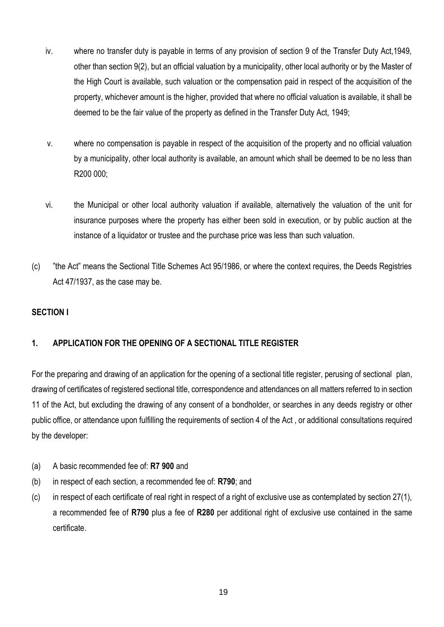- iv. where no transfer duty is payable in terms of any provision of section 9 of the Transfer Duty Act,1949, other than section 9(2), but an official valuation by a municipality, other local authority or by the Master of the High Court is available, such valuation or the compensation paid in respect of the acquisition of the property, whichever amount is the higher, provided that where no official valuation is available, it shall be deemed to be the fair value of the property as defined in the Transfer Duty Act, 1949;
- v. where no compensation is payable in respect of the acquisition of the property and no official valuation by a municipality, other local authority is available, an amount which shall be deemed to be no less than R200 000;
- vi. the Municipal or other local authority valuation if available, alternatively the valuation of the unit for insurance purposes where the property has either been sold in execution, or by public auction at the instance of a liquidator or trustee and the purchase price was less than such valuation.
- (c) "the Act" means the Sectional Title Schemes Act 95/1986, or where the context requires, the Deeds Registries Act 47/1937, as the case may be.

## **SECTION I**

## **1. APPLICATION FOR THE OPENING OF A SECTIONAL TITLE REGISTER**

For the preparing and drawing of an application for the opening of a sectional title register, perusing of sectional plan, drawing of certificates of registered sectional title, correspondence and attendances on all matters referred to in section 11 of the Act, but excluding the drawing of any consent of a bondholder, or searches in any deeds registry or other public office, or attendance upon fulfilling the requirements of section 4 of the Act , or additional consultations required by the developer:

- (a) A basic recommended fee of: **R7 900** and
- (b) in respect of each section, a recommended fee of: **R790**; and
- (c) in respect of each certificate of real right in respect of a right of exclusive use as contemplated by section 27(1), a recommended fee of **R790** plus a fee of **R280** per additional right of exclusive use contained in the same certificate.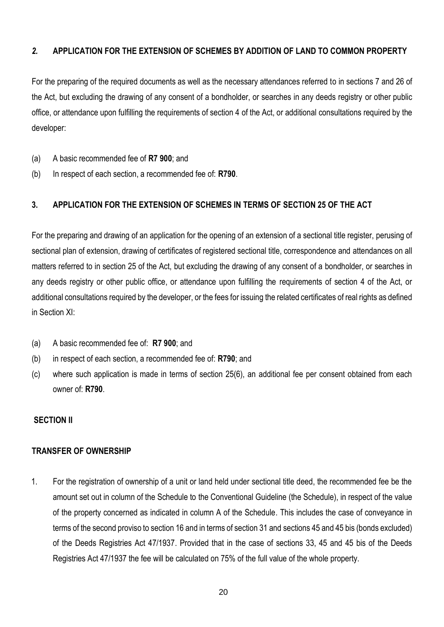### *2.* **APPLICATION FOR THE EXTENSION OF SCHEMES BY ADDITION OF LAND TO COMMON PROPERTY**

For the preparing of the required documents as well as the necessary attendances referred to in sections 7 and 26 of the Act, but excluding the drawing of any consent of a bondholder, or searches in any deeds registry or other public office, or attendance upon fulfilling the requirements of section 4 of the Act, or additional consultations required by the developer:

- (a) A basic recommended fee of **R7 900**; and
- (b) In respect of each section, a recommended fee of: **R790**.

### **3. APPLICATION FOR THE EXTENSION OF SCHEMES IN TERMS OF SECTION 25 OF THE ACT**

For the preparing and drawing of an application for the opening of an extension of a sectional title register, perusing of sectional plan of extension, drawing of certificates of registered sectional title, correspondence and attendances on all matters referred to in section 25 of the Act, but excluding the drawing of any consent of a bondholder, or searches in any deeds registry or other public office, or attendance upon fulfilling the requirements of section 4 of the Act, or additional consultations required by the developer, or the fees for issuing the related certificates of real rights as defined in Section XI:

- (a) A basic recommended fee of: **R7 900**; and
- (b) in respect of each section, a recommended fee of: **R790**; and
- (c) where such application is made in terms of section 25(6), an additional fee per consent obtained from each owner of: **R790**.

#### **SECTION II**

### **TRANSFER OF OWNERSHIP**

1. For the registration of ownership of a unit or land held under sectional title deed, the recommended fee be the amount set out in column of the Schedule to the Conventional Guideline (the Schedule), in respect of the value of the property concerned as indicated in column A of the Schedule. This includes the case of conveyance in terms of the second proviso to section 16 and in terms of section 31 and sections 45 and 45 bis (bonds excluded) of the Deeds Registries Act 47/1937. Provided that in the case of sections 33, 45 and 45 bis of the Deeds Registries Act 47/1937 the fee will be calculated on 75% of the full value of the whole property.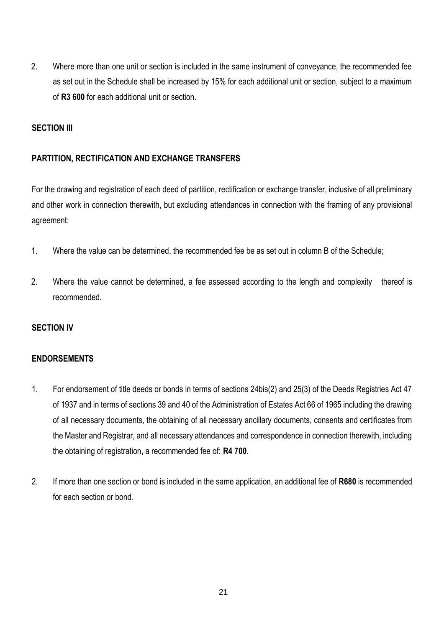2. Where more than one unit or section is included in the same instrument of conveyance, the recommended fee as set out in the Schedule shall be increased by 15% for each additional unit or section, subject to a maximum of **R3 600** for each additional unit or section.

### **SECTION III**

### **PARTITION, RECTIFICATION AND EXCHANGE TRANSFERS**

For the drawing and registration of each deed of partition, rectification or exchange transfer, inclusive of all preliminary and other work in connection therewith, but excluding attendances in connection with the framing of any provisional agreement:

- 1. Where the value can be determined, the recommended fee be as set out in column B of the Schedule;
- 2. Where the value cannot be determined, a fee assessed according to the length and complexity thereof is recommended.

### **SECTION IV**

### **ENDORSEMENTS**

- 1. For endorsement of title deeds or bonds in terms of sections 24bis(2) and 25(3) of the Deeds Registries Act 47 of 1937 and in terms of sections 39 and 40 of the Administration of Estates Act 66 of 1965 including the drawing of all necessary documents, the obtaining of all necessary ancillary documents, consents and certificates from the Master and Registrar, and all necessary attendances and correspondence in connection therewith, including the obtaining of registration, a recommended fee of: **R4 700**.
- 2. If more than one section or bond is included in the same application, an additional fee of **R680** is recommended for each section or bond.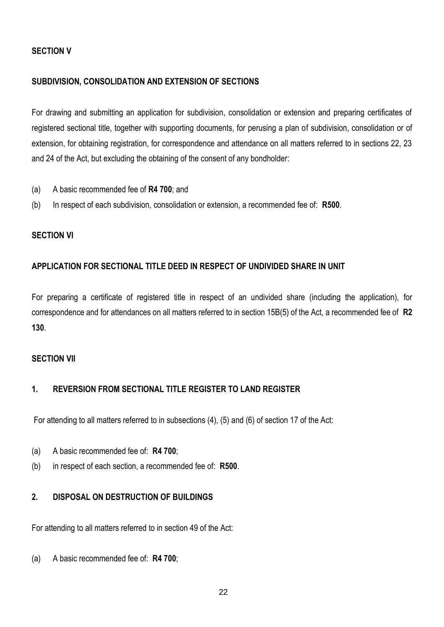### **SECTION V**

### **SUBDIVISION, CONSOLIDATION AND EXTENSION OF SECTIONS**

For drawing and submitting an application for subdivision, consolidation or extension and preparing certificates of registered sectional title, together with supporting documents, for perusing a plan of subdivision, consolidation or of extension, for obtaining registration, for correspondence and attendance on all matters referred to in sections 22, 23 and 24 of the Act, but excluding the obtaining of the consent of any bondholder:

- (a) A basic recommended fee of **R4 700**; and
- (b) In respect of each subdivision, consolidation or extension, a recommended fee of: **R500**.

#### **SECTION VI**

### **APPLICATION FOR SECTIONAL TITLE DEED IN RESPECT OF UNDIVIDED SHARE IN UNIT**

For preparing a certificate of registered title in respect of an undivided share (including the application), for correspondence and for attendances on all matters referred to in section 15B(5) of the Act, a recommended fee of **R2 130**.

#### **SECTION VII**

## **1. REVERSION FROM SECTIONAL TITLE REGISTER TO LAND REGISTER**

For attending to all matters referred to in subsections (4), (5) and (6) of section 17 of the Act:

- (a) A basic recommended fee of: **R4 700**;
- (b) in respect of each section, a recommended fee of: **R500**.

### **2. DISPOSAL ON DESTRUCTION OF BUILDINGS**

For attending to all matters referred to in section 49 of the Act:

(a) A basic recommended fee of: **R4 700**;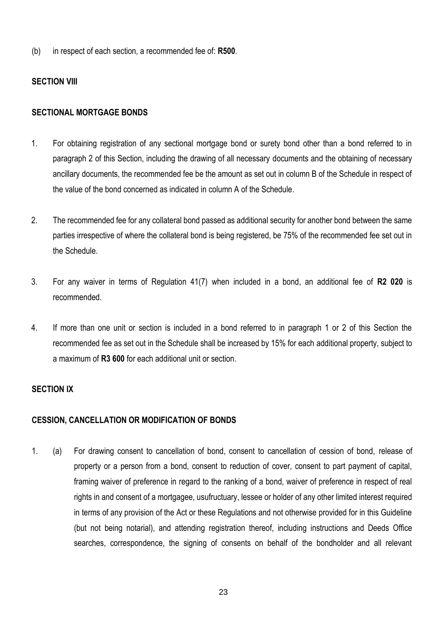(b) in respect of each section, a recommended fee of: **R500**.

### **SECTION VIII**

#### **SECTIONAL MORTGAGE BONDS**

- 1. For obtaining registration of any sectional mortgage bond or surety bond other than a bond referred to in paragraph 2 of this Section, including the drawing of all necessary documents and the obtaining of necessary ancillary documents, the recommended fee be the amount as set out in column B of the Schedule in respect of the value of the bond concerned as indicated in column A of the Schedule.
- 2. The recommended fee for any collateral bond passed as additional security for another bond between the same parties irrespective of where the collateral bond is being registered, be 75% of the recommended fee set out in the Schedule.
- 3. For any waiver in terms of Regulation 41(7) when included in a bond, an additional fee of **R2 020** is recommended.
- 4. If more than one unit or section is included in a bond referred to in paragraph 1 or 2 of this Section the recommended fee as set out in the Schedule shall be increased by 15% for each additional property, subject to a maximum of **R3 600** for each additional unit or section.

#### **SECTION IX**

#### **CESSION, CANCELLATION OR MODIFICATION OF BONDS**

1. (a) For drawing consent to cancellation of bond, consent to cancellation of cession of bond, release of property or a person from a bond, consent to reduction of cover, consent to part payment of capital, framing waiver of preference in regard to the ranking of a bond, waiver of preference in respect of real rights in and consent of a mortgagee, usufructuary, lessee or holder of any other limited interest required in terms of any provision of the Act or these Regulations and not otherwise provided for in this Guideline (but not being notarial), and attending registration thereof, including instructions and Deeds Office searches, correspondence, the signing of consents on behalf of the bondholder and all relevant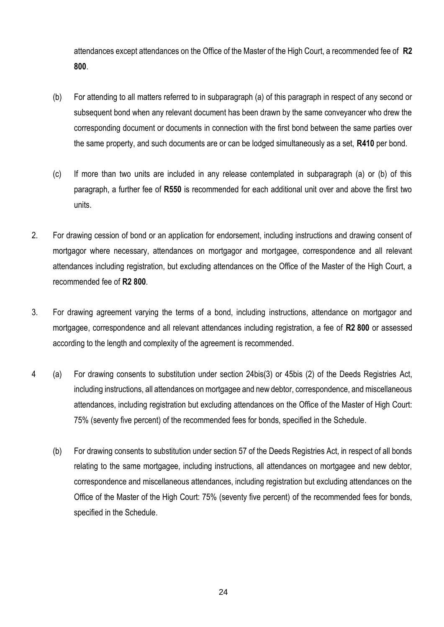attendances except attendances on the Office of the Master of the High Court, a recommended fee of **R2 800**.

- (b) For attending to all matters referred to in subparagraph (a) of this paragraph in respect of any second or subsequent bond when any relevant document has been drawn by the same conveyancer who drew the corresponding document or documents in connection with the first bond between the same parties over the same property, and such documents are or can be lodged simultaneously as a set, **R410** per bond.
- (c) If more than two units are included in any release contemplated in subparagraph (a) or (b) of this paragraph, a further fee of **R550** is recommended for each additional unit over and above the first two units.
- 2. For drawing cession of bond or an application for endorsement, including instructions and drawing consent of mortgagor where necessary, attendances on mortgagor and mortgagee, correspondence and all relevant attendances including registration, but excluding attendances on the Office of the Master of the High Court, a recommended fee of **R2 800**.
- 3. For drawing agreement varying the terms of a bond, including instructions, attendance on mortgagor and mortgagee, correspondence and all relevant attendances including registration, a fee of **R2 800** or assessed according to the length and complexity of the agreement is recommended.
- 4 (a) For drawing consents to substitution under section 24bis(3) or 45bis (2) of the Deeds Registries Act, including instructions, all attendances on mortgagee and new debtor, correspondence, and miscellaneous attendances, including registration but excluding attendances on the Office of the Master of High Court: 75% (seventy five percent) of the recommended fees for bonds, specified in the Schedule.
	- (b) For drawing consents to substitution under section 57 of the Deeds Registries Act, in respect of all bonds relating to the same mortgagee, including instructions, all attendances on mortgagee and new debtor, correspondence and miscellaneous attendances, including registration but excluding attendances on the Office of the Master of the High Court: 75% (seventy five percent) of the recommended fees for bonds, specified in the Schedule.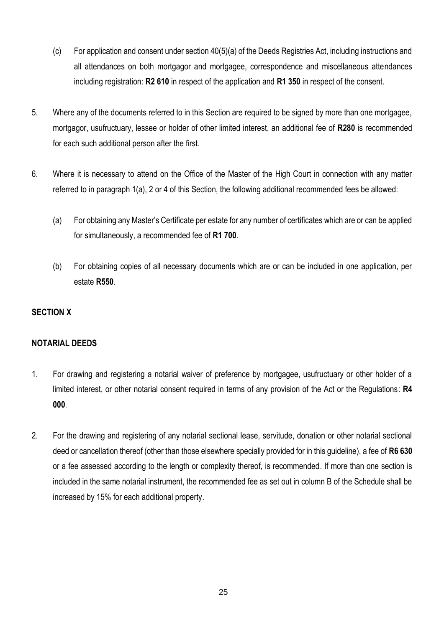- (c) For application and consent under section 40(5)(a) of the Deeds Registries Act, including instructions and all attendances on both mortgagor and mortgagee, correspondence and miscellaneous attendances including registration: **R2 610** in respect of the application and **R1 350** in respect of the consent.
- 5. Where any of the documents referred to in this Section are required to be signed by more than one mortgagee, mortgagor, usufructuary, lessee or holder of other limited interest, an additional fee of **R280** is recommended for each such additional person after the first.
- 6. Where it is necessary to attend on the Office of the Master of the High Court in connection with any matter referred to in paragraph 1(a), 2 or 4 of this Section, the following additional recommended fees be allowed:
	- (a) For obtaining any Master's Certificate per estate for any number of certificates which are or can be applied for simultaneously, a recommended fee of **R1 700**.
	- (b) For obtaining copies of all necessary documents which are or can be included in one application, per estate **R550**.

## **SECTION X**

### **NOTARIAL DEEDS**

- 1. For drawing and registering a notarial waiver of preference by mortgagee, usufructuary or other holder of a limited interest, or other notarial consent required in terms of any provision of the Act or the Regulations: **R4 000**.
- 2. For the drawing and registering of any notarial sectional lease, servitude, donation or other notarial sectional deed or cancellation thereof (other than those elsewhere specially provided for in this guideline), a fee of **R6 630** or a fee assessed according to the length or complexity thereof, is recommended. If more than one section is included in the same notarial instrument, the recommended fee as set out in column B of the Schedule shall be increased by 15% for each additional property.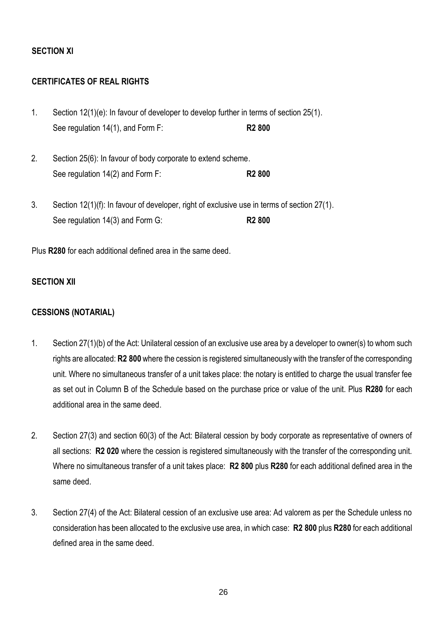### **SECTION Xl**

### **CERTIFICATES OF REAL RIGHTS**

- 1. Section 12(1)(e): In favour of developer to develop further in terms of section 25(1). See regulation 14(1), and Form F: **R2 800**
- 2. Section 25(6): In favour of body corporate to extend scheme. See regulation 14(2) and Form F: **R2 800**
- 3. Section 12(1)(f): In favour of developer, right of exclusive use in terms of section 27(1). See regulation 14(3) and Form G: **R2 800**

Plus **R280** for each additional defined area in the same deed.

### **SECTION XII**

#### **CESSIONS (NOTARIAL)**

- 1. Section 27(1)(b) of the Act: Unilateral cession of an exclusive use area by a developer to owner(s) to whom such rights are allocated: **R2 800** where the cession is registered simultaneously with the transfer of the corresponding unit. Where no simultaneous transfer of a unit takes place: the notary is entitled to charge the usual transfer fee as set out in Column B of the Schedule based on the purchase price or value of the unit. Plus **R280** for each additional area in the same deed.
- 2. Section 27(3) and section 60(3) of the Act: Bilateral cession by body corporate as representative of owners of all sections: **R2 020** where the cession is registered simultaneously with the transfer of the corresponding unit. Where no simultaneous transfer of a unit takes place: **R2 800** plus **R280** for each additional defined area in the same deed.
- 3. Section 27(4) of the Act: Bilateral cession of an exclusive use area: Ad valorem as per the Schedule unless no consideration has been allocated to the exclusive use area, in which case: **R2 800** plus **R280** for each additional defined area in the same deed.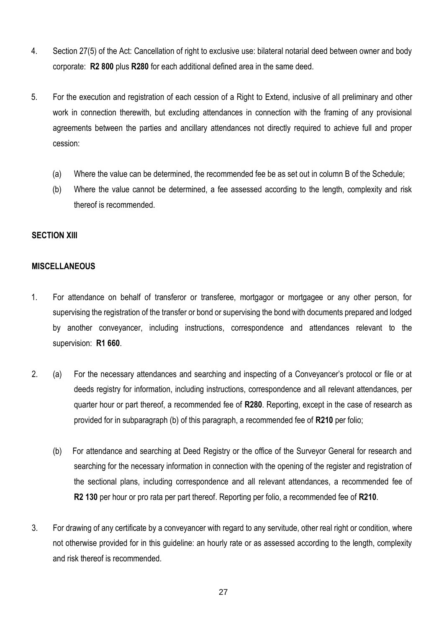- 4. Section 27(5) of the Act: Cancellation of right to exclusive use: bilateral notarial deed between owner and body corporate: **R2 800** plus **R280** for each additional defined area in the same deed.
- 5. For the execution and registration of each cession of a Right to Extend, inclusive of all preliminary and other work in connection therewith, but excluding attendances in connection with the framing of any provisional agreements between the parties and ancillary attendances not directly required to achieve full and proper cession:
	- (a) Where the value can be determined, the recommended fee be as set out in column B of the Schedule;
	- (b) Where the value cannot be determined, a fee assessed according to the length, complexity and risk thereof is recommended.

#### **SECTION XlII**

#### **MISCELLANEOUS**

- 1. For attendance on behalf of transferor or transferee, mortgagor or mortgagee or any other person, for supervising the registration of the transfer or bond or supervising the bond with documents prepared and lodged by another conveyancer, including instructions, correspondence and attendances relevant to the supervision: **R1 660**.
- 2. (a) For the necessary attendances and searching and inspecting of a Conveyancer's protocol or file or at deeds registry for information, including instructions, correspondence and all relevant attendances, per quarter hour or part thereof, a recommended fee of **R280**. Reporting, except in the case of research as provided for in subparagraph (b) of this paragraph, a recommended fee of **R210** per folio;
	- (b) For attendance and searching at Deed Registry or the office of the Surveyor General for research and searching for the necessary information in connection with the opening of the register and registration of the sectional plans, including correspondence and all relevant attendances, a recommended fee of **R2 130** per hour or pro rata per part thereof. Reporting per folio, a recommended fee of **R210**.
- 3. For drawing of any certificate by a conveyancer with regard to any servitude, other real right or condition, where not otherwise provided for in this guideline: an hourly rate or as assessed according to the length, complexity and risk thereof is recommended.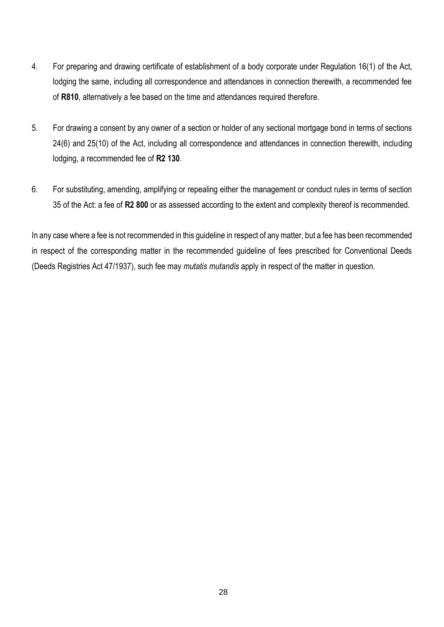- 4. For preparing and drawing certificate of establishment of a body corporate under Regulation 16(1) of the Act, lodging the same, including all correspondence and attendances in connection therewith, a recommended fee of **R810**, alternatively a fee based on the time and attendances required therefore.
- 5. For drawing a consent by any owner of a section or holder of any sectional mortgage bond in terms of sections 24(6) and 25(10) of the Act, including all correspondence and attendances in connection therewith, including lodging, a recommended fee of **R2 130**.
- 6. For substituting, amending, amplifying or repealing either the management or conduct rules in terms of section 35 of the Act: a fee of **R2 800** or as assessed according to the extent and complexity thereof is recommended.

In any case where a fee is not recommended in this guideline in respect of any matter, but a fee has been recommended in respect of the corresponding matter in the recommended guideline of fees prescribed for Conventional Deeds (Deeds Registries Act 47/1937), such fee may *mutatis mutandis* apply in respect of the matter in question.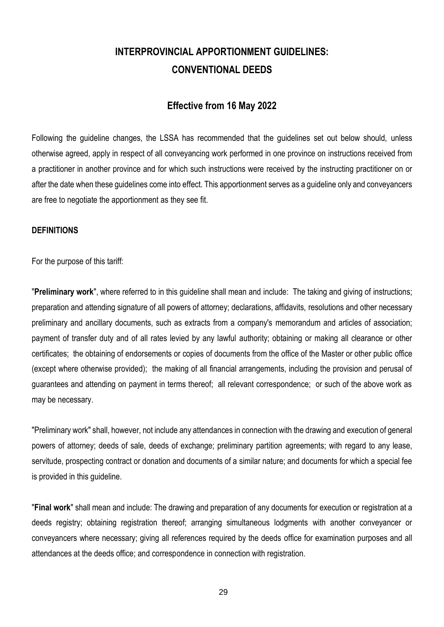# **INTERPROVINCIAL APPORTIONMENT GUIDELINES: CONVENTIONAL DEEDS**

## **Effective from 16 May 2022**

Following the guideline changes, the LSSA has recommended that the guidelines set out below should, unless otherwise agreed, apply in respect of all conveyancing work performed in one province on instructions received from a practitioner in another province and for which such instructions were received by the instructing practitioner on or after the date when these guidelines come into effect. This apportionment serves as a guideline only and conveyancers are free to negotiate the apportionment as they see fit.

#### **DEFINITIONS**

For the purpose of this tariff:

"**Preliminary work**", where referred to in this guideline shall mean and include: The taking and giving of instructions; preparation and attending signature of all powers of attorney; declarations, affidavits, resolutions and other necessary preliminary and ancillary documents, such as extracts from a company's memorandum and articles of association; payment of transfer duty and of all rates levied by any lawful authority; obtaining or making all clearance or other certificates; the obtaining of endorsements or copies of documents from the office of the Master or other public office (except where otherwise provided); the making of all financial arrangements, including the provision and perusal of guarantees and attending on payment in terms thereof; all relevant correspondence; or such of the above work as may be necessary.

"Preliminary work" shall, however, not include any attendances in connection with the drawing and execution of general powers of attorney; deeds of sale, deeds of exchange; preliminary partition agreements; with regard to any lease, servitude, prospecting contract or donation and documents of a similar nature; and documents for which a special fee is provided in this guideline.

"**Final work**" shall mean and include: The drawing and preparation of any documents for execution or registration at a deeds registry; obtaining registration thereof; arranging simultaneous lodgments with another conveyancer or conveyancers where necessary; giving all references required by the deeds office for examination purposes and all attendances at the deeds office; and correspondence in connection with registration.

29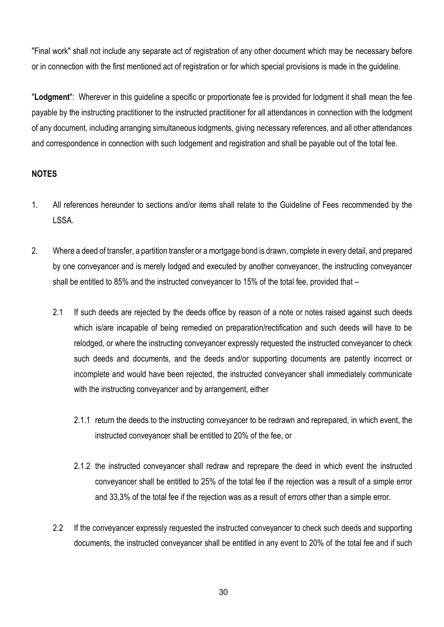"Final work" shall not include any separate act of registration of any other document which may be necessary before or in connection with the first mentioned act of registration or for which special provisions is made in the guideline.

"**Lodgment**": Wherever in this guideline a specific or proportionate fee is provided for lodgment it shall mean the fee payable by the instructing practitioner to the instructed practitioner for all attendances in connection with the lodgment of any document, including arranging simultaneous lodgments, giving necessary references, and all other attendances and correspondence in connection with such lodgement and registration and shall be payable out of the total fee.

### **NOTES**

- 1. All references hereunder to sections and/or items shall relate to the Guideline of Fees recommended by the LSSA.
- 2. Where a deed of transfer, a partition transfer or a mortgage bond is drawn, complete in every detail, and prepared by one conveyancer and is merely lodged and executed by another conveyancer, the instructing conveyancer shall be entitled to 85% and the instructed conveyancer to 15% of the total fee, provided that –
	- 2.1 If such deeds are rejected by the deeds office by reason of a note or notes raised against such deeds which is/are incapable of being remedied on preparation/rectification and such deeds will have to be relodged, or where the instructing conveyancer expressly requested the instructed conveyancer to check such deeds and documents, and the deeds and/or supporting documents are patently incorrect or incomplete and would have been rejected, the instructed conveyancer shall immediately communicate with the instructing conveyancer and by arrangement, either
		- 2.1.1 return the deeds to the instructing conveyancer to be redrawn and reprepared, in which event, the instructed conveyancer shall be entitled to 20% of the fee, or
		- 2.1.2 the instructed conveyancer shall redraw and reprepare the deed in which event the instructed conveyancer shall be entitled to 25% of the total fee if the rejection was a result of a simple error and 33,3% of the total fee if the rejection was as a result of errors other than a simple error.
	- 2.2 If the conveyancer expressly requested the instructed conveyancer to check such deeds and supporting documents, the instructed conveyancer shall be entitled in any event to 20% of the total fee and if such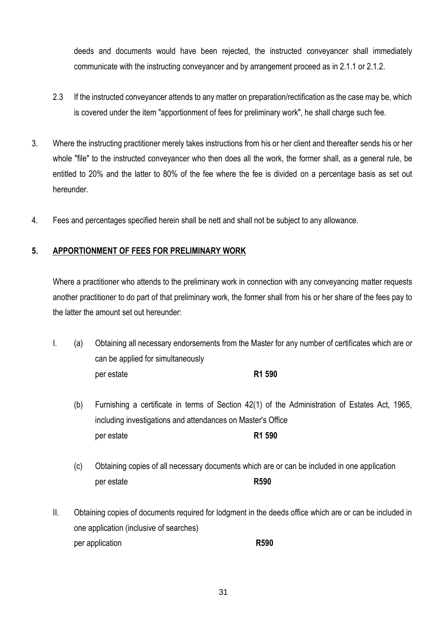deeds and documents would have been rejected, the instructed conveyancer shall immediately communicate with the instructing conveyancer and by arrangement proceed as in 2.1.1 or 2.1.2.

- 2.3 If the instructed conveyancer attends to any matter on preparation/rectification as the case may be, which is covered under the item "apportionment of fees for preliminary work", he shall charge such fee.
- 3. Where the instructing practitioner merely takes instructions from his or her client and thereafter sends his or her whole "file" to the instructed conveyancer who then does all the work, the former shall, as a general rule, be entitled to 20% and the latter to 80% of the fee where the fee is divided on a percentage basis as set out hereunder.
- 4. Fees and percentages specified herein shall be nett and shall not be subject to any allowance.

## **5. APPORTIONMENT OF FEES FOR PRELIMINARY WORK**

Where a practitioner who attends to the preliminary work in connection with any conveyancing matter requests another practitioner to do part of that preliminary work, the former shall from his or her share of the fees pay to the latter the amount set out hereunder:

- I. (a) Obtaining all necessary endorsements from the Master for any number of certificates which are or can be applied for simultaneously per estate **R1 590**
	- (b) Furnishing a certificate in terms of Section 42(1) of the Administration of Estates Act, 1965, including investigations and attendances on Master's Office per estate **R1 590**
	- (c) Obtaining copies of all necessary documents which are or can be included in one application per estate **R590**
- II. Obtaining copies of documents required for lodgment in the deeds office which are or can be included in one application (inclusive of searches) per application **R590**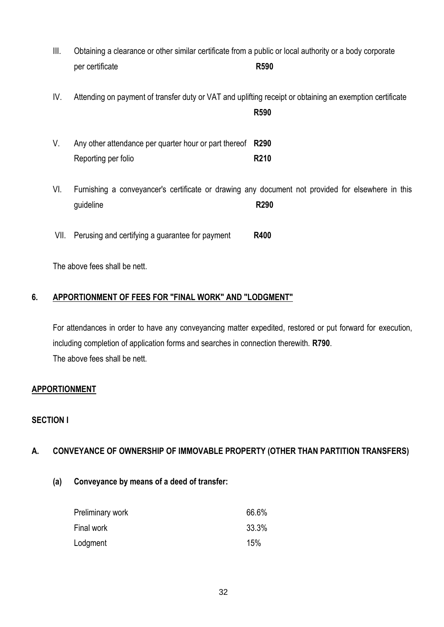- III. Obtaining a clearance or other similar certificate from a public or local authority or a body corporate per certificate **R590**
- IV. Attending on payment of transfer duty or VAT and uplifting receipt or obtaining an exemption certificate

**R590**

| V. | Any other attendance per quarter hour or part thereof R290 |             |
|----|------------------------------------------------------------|-------------|
|    | Reporting per folio                                        | <b>R210</b> |

VI. Furnishing a conveyancer's certificate or drawing any document not provided for elsewhere in this guideline **R290**

VII. Perusing and certifying a guarantee for payment **R400**

The above fees shall be nett.

## **6. APPORTIONMENT OF FEES FOR "FINAL WORK" AND "LODGMENT"**

For attendances in order to have any conveyancing matter expedited, restored or put forward for execution, including completion of application forms and searches in connection therewith. **R790**. The above fees shall be nett.

## **APPORTIONMENT**

## **SECTION I**

## **A. CONVEYANCE OF OWNERSHIP OF IMMOVABLE PROPERTY (OTHER THAN PARTITION TRANSFERS)**

**(a) Conveyance by means of a deed of transfer:** 

| Preliminary work | 66.6% |
|------------------|-------|
| Final work       | 33.3% |
| Lodgment         | 15%   |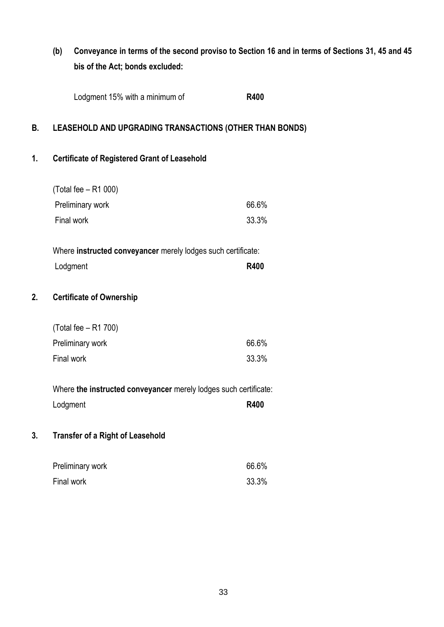## **(b) Conveyance in terms of the second proviso to Section 16 and in terms of Sections 31, 45 and 45 bis of the Act; bonds excluded:**

| Lodgment 15% with a minimum of | <b>R400</b> |
|--------------------------------|-------------|
|--------------------------------|-------------|

## **B. LEASEHOLD AND UPGRADING TRANSACTIONS (OTHER THAN BONDS)**

## **1. Certificate of Registered Grant of Leasehold**

| (Total fee – R1 000) |       |
|----------------------|-------|
| Preliminary work     | 66.6% |
| Final work           | 33.3% |
|                      |       |

| Where instructed conveyancer merely lodges such certificate: |             |
|--------------------------------------------------------------|-------------|
| Lodgment                                                     | <b>R400</b> |

## **2. Certificate of Ownership**

| (Total fee – R1 700) |       |
|----------------------|-------|
| Preliminary work     | 66.6% |
| Final work           | 33.3% |

Where **the instructed conveyancer** merely lodges such certificate: Lodgment **R400** 

## **3. Transfer of a Right of Leasehold**

| Preliminary work | 66.6% |
|------------------|-------|
| Final work       | 33.3% |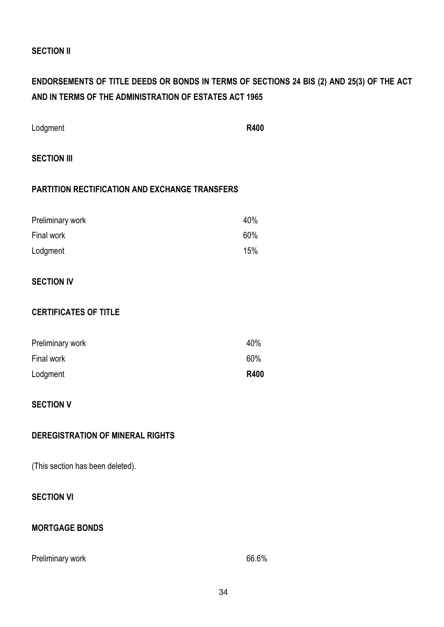### **SECTION II**

## **ENDORSEMENTS OF TITLE DEEDS OR BONDS IN TERMS OF SECTIONS 24 BIS (2) AND 25(3) OF THE ACT AND IN TERMS OF THE ADMINISTRATION OF ESTATES ACT 1965**

| Lodgment | <b>R400</b> |
|----------|-------------|
|          |             |

## **SECTION III**

#### **PARTITION RECTIFICATION AND EXCHANGE TRANSFERS**

| Preliminary work | 40% |
|------------------|-----|
| Final work       | 60% |
| Lodgment         | 15% |

## **SECTION IV**

### **CERTIFICATES OF TITLE**

| Preliminary work | 40%         |
|------------------|-------------|
| Final work       | 60%         |
| Lodgment         | <b>R400</b> |

### **SECTION V**

### **DEREGISTRATION OF MINERAL RIGHTS**

(This section has been deleted).

## **SECTION VI**

### **MORTGAGE BONDS**

### Preliminary work 66.6%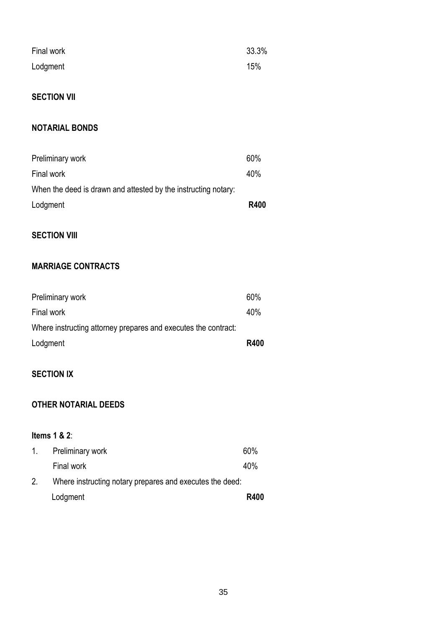| Final work | 33.3% |
|------------|-------|
| Lodgment   | 15%   |

## **SECTION VII**

## **NOTARIAL BONDS**

| Preliminary work                                               | 60%         |
|----------------------------------------------------------------|-------------|
| Final work                                                     | 40%         |
| When the deed is drawn and attested by the instructing notary: |             |
| Lodgment                                                       | <b>R400</b> |

## **SECTION VIII**

## **MARRIAGE CONTRACTS**

| Preliminary work                                               | 60%         |
|----------------------------------------------------------------|-------------|
| Final work                                                     | 40%         |
| Where instructing attorney prepares and executes the contract: |             |
| Lodgment                                                       | <b>R400</b> |

## **SECTION IX**

## **OTHER NOTARIAL DEEDS**

## **Items 1 & 2**:

| $1_{\cdot}$ | Preliminary work                                         | 60%         |
|-------------|----------------------------------------------------------|-------------|
|             | Final work                                               | 40%         |
| 2.          | Where instructing notary prepares and executes the deed: |             |
|             | Lodgment                                                 | <b>R400</b> |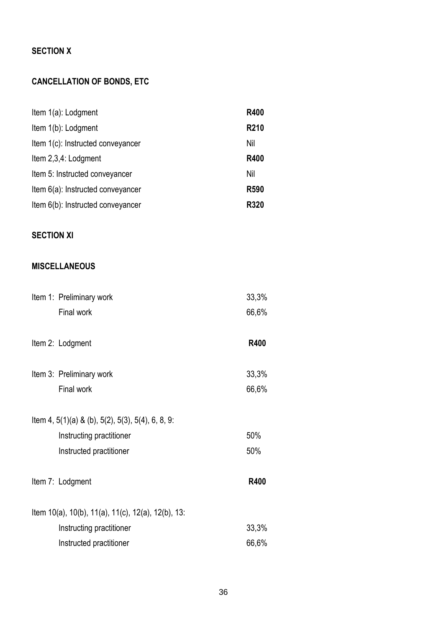## **SECTION X**

## **CANCELLATION OF BONDS, ETC**

| Item 1(a): Lodgment               | <b>R400</b> |
|-----------------------------------|-------------|
| Item 1(b): Lodgment               | <b>R210</b> |
| Item 1(c): Instructed conveyancer | Nil         |
| Item 2,3,4: Lodgment              | <b>R400</b> |
| Item 5: Instructed conveyancer    | Nil         |
| Item 6(a): Instructed conveyancer | <b>R590</b> |
| Item 6(b): Instructed conveyancer | <b>R320</b> |

## **SECTION XI**

## **MISCELLANEOUS**

| Item 1: Preliminary work                                                                                            | 33,3%       |
|---------------------------------------------------------------------------------------------------------------------|-------------|
| Final work                                                                                                          | 66,6%       |
| Item 2: Lodgment                                                                                                    | <b>R400</b> |
| Item 3: Preliminary work                                                                                            | 33,3%       |
| Final work                                                                                                          | 66,6%       |
| Item 4, $5(1)(a)$ & (b), $5(2)$ , $5(3)$ , $5(4)$ , 6, 8, 9:<br>Instructing practitioner<br>Instructed practitioner | 50%<br>50%  |
| Item 7: Lodgment                                                                                                    | <b>R400</b> |
| Item 10(a), 10(b), 11(a), 11(c), 12(a), 12(b), 13:                                                                  |             |
| Instructing practitioner                                                                                            | 33,3%       |
| Instructed practitioner                                                                                             | 66,6%       |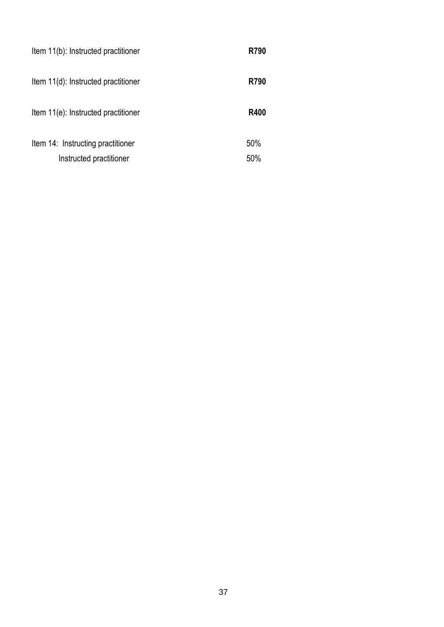| Item 11(b): Instructed practitioner | <b>R790</b> |
|-------------------------------------|-------------|
| Item 11(d): Instructed practitioner | R790        |
| Item 11(e): Instructed practitioner | <b>R400</b> |
| Item 14: Instructing practitioner   | 50%         |
| Instructed practitioner             | 50%         |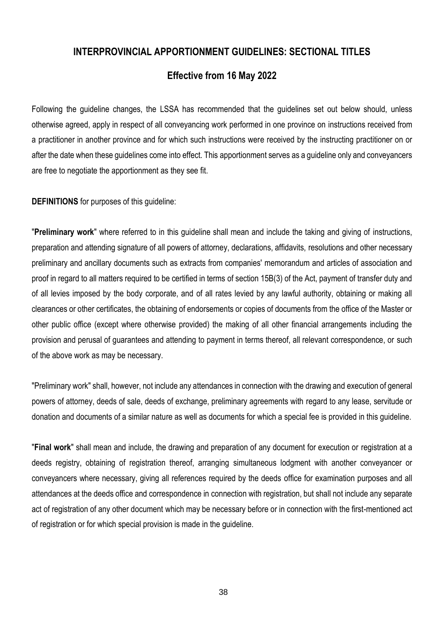## **INTERPROVINCIAL APPORTIONMENT GUIDELINES: SECTIONAL TITLES**

## **Effective from 16 May 2022**

Following the guideline changes, the LSSA has recommended that the guidelines set out below should, unless otherwise agreed, apply in respect of all conveyancing work performed in one province on instructions received from a practitioner in another province and for which such instructions were received by the instructing practitioner on or after the date when these guidelines come into effect. This apportionment serves as a guideline only and conveyancers are free to negotiate the apportionment as they see fit.

**DEFINITIONS** for purposes of this guideline:

"**Preliminary work**" where referred to in this guideline shall mean and include the taking and giving of instructions, preparation and attending signature of all powers of attorney, declarations, affidavits, resolutions and other necessary preliminary and ancillary documents such as extracts from companies' memorandum and articles of association and proof in regard to all matters required to be certified in terms of section 15B(3) of the Act, payment of transfer duty and of all levies imposed by the body corporate, and of all rates levied by any lawful authority, obtaining or making all clearances or other certificates, the obtaining of endorsements or copies of documents from the office of the Master or other public office (except where otherwise provided) the making of all other financial arrangements including the provision and perusal of guarantees and attending to payment in terms thereof, all relevant correspondence, or such of the above work as may be necessary.

"Preliminary work" shall, however, not include any attendances in connection with the drawing and execution of general powers of attorney, deeds of sale, deeds of exchange, preliminary agreements with regard to any lease, servitude or donation and documents of a similar nature as well as documents for which a special fee is provided in this guideline.

"**Final work**" shall mean and include, the drawing and preparation of any document for execution or registration at a deeds registry, obtaining of registration thereof, arranging simultaneous lodgment with another conveyancer or conveyancers where necessary, giving all references required by the deeds office for examination purposes and all attendances at the deeds office and correspondence in connection with registration, but shall not include any separate act of registration of any other document which may be necessary before or in connection with the first-mentioned act of registration or for which special provision is made in the guideline.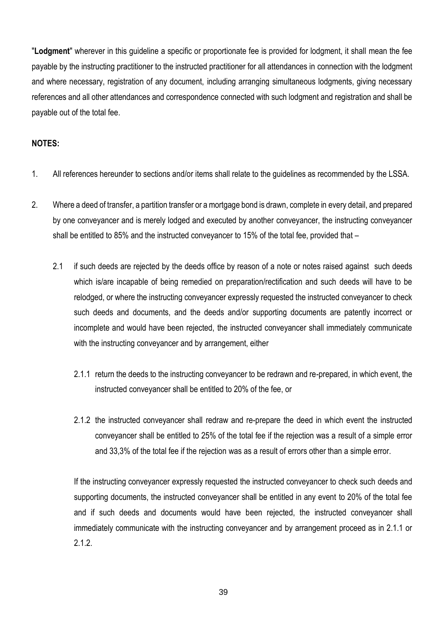"**Lodgment**" wherever in this guideline a specific or proportionate fee is provided for lodgment, it shall mean the fee payable by the instructing practitioner to the instructed practitioner for all attendances in connection with the lodgment and where necessary, registration of any document, including arranging simultaneous lodgments, giving necessary references and all other attendances and correspondence connected with such lodgment and registration and shall be payable out of the total fee.

### **NOTES:**

- 1. All references hereunder to sections and/or items shall relate to the guidelines as recommended by the LSSA.
- 2. Where a deed of transfer, a partition transfer or a mortgage bond is drawn, complete in every detail, and prepared by one conveyancer and is merely lodged and executed by another conveyancer, the instructing conveyancer shall be entitled to 85% and the instructed conveyancer to 15% of the total fee, provided that –
	- 2.1 if such deeds are rejected by the deeds office by reason of a note or notes raised against such deeds which is/are incapable of being remedied on preparation/rectification and such deeds will have to be relodged, or where the instructing conveyancer expressly requested the instructed conveyancer to check such deeds and documents, and the deeds and/or supporting documents are patently incorrect or incomplete and would have been rejected, the instructed conveyancer shall immediately communicate with the instructing conveyancer and by arrangement, either
		- 2.1.1 return the deeds to the instructing conveyancer to be redrawn and re-prepared, in which event, the instructed conveyancer shall be entitled to 20% of the fee, or
		- 2.1.2 the instructed conveyancer shall redraw and re-prepare the deed in which event the instructed conveyancer shall be entitled to 25% of the total fee if the rejection was a result of a simple error and 33,3% of the total fee if the rejection was as a result of errors other than a simple error.

If the instructing conveyancer expressly requested the instructed conveyancer to check such deeds and supporting documents, the instructed conveyancer shall be entitled in any event to 20% of the total fee and if such deeds and documents would have been rejected, the instructed conveyancer shall immediately communicate with the instructing conveyancer and by arrangement proceed as in 2.1.1 or 2.12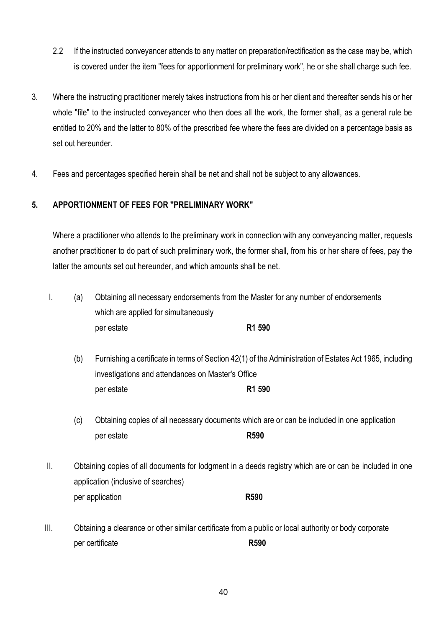- 2.2 If the instructed conveyancer attends to any matter on preparation/rectification as the case may be, which is covered under the item "fees for apportionment for preliminary work", he or she shall charge such fee.
- 3. Where the instructing practitioner merely takes instructions from his or her client and thereafter sends his or her whole "file" to the instructed conveyancer who then does all the work, the former shall, as a general rule be entitled to 20% and the latter to 80% of the prescribed fee where the fees are divided on a percentage basis as set out hereunder.
- 4. Fees and percentages specified herein shall be net and shall not be subject to any allowances.

### **5. APPORTIONMENT OF FEES FOR "PRELIMINARY WORK"**

Where a practitioner who attends to the preliminary work in connection with any conveyancing matter, requests another practitioner to do part of such preliminary work, the former shall, from his or her share of fees, pay the latter the amounts set out hereunder, and which amounts shall be net.

- I. (a) Obtaining all necessary endorsements from the Master for any number of endorsements which are applied for simultaneously per estate **R1 590**
	- (b) Furnishing a certificate in terms of Section 42(1) of the Administration of Estates Act 1965, including investigations and attendances on Master's Office per estate **R1 590**
	- (c) Obtaining copies of all necessary documents which are or can be included in one application per estate **R590**
- II. Obtaining copies of all documents for lodgment in a deeds registry which are or can be included in one application (inclusive of searches) per application **R590**
- III. Obtaining a clearance or other similar certificate from a public or local authority or body corporate per certificate **R590**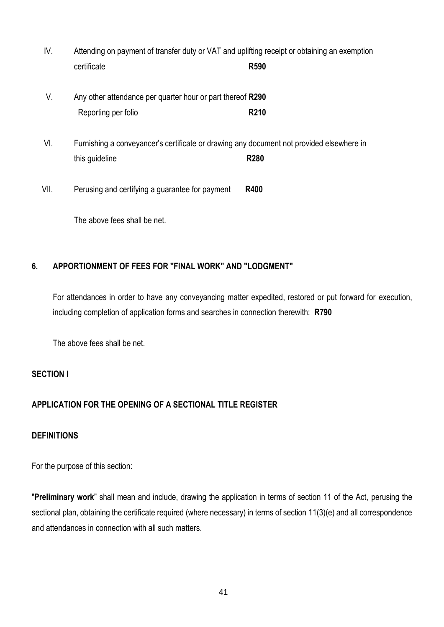- IV. Attending on payment of transfer duty or VAT and uplifting receipt or obtaining an exemption certificate **R590**
- V. Any other attendance per quarter hour or part thereof **R290** Reporting per folio **R210**
- VI. Furnishing a conveyancer's certificate or drawing any document not provided elsewhere in this guideline **R280**

VII. Perusing and certifying a guarantee for payment **R400**

The above fees shall be net.

## **6. APPORTIONMENT OF FEES FOR "FINAL WORK" AND "LODGMENT"**

For attendances in order to have any conveyancing matter expedited, restored or put forward for execution, including completion of application forms and searches in connection therewith: **R790**

The above fees shall be net.

## **SECTION I**

## **APPLICATION FOR THE OPENING OF A SECTIONAL TITLE REGISTER**

### **DEFINITIONS**

For the purpose of this section:

"**Preliminary work**" shall mean and include, drawing the application in terms of section 11 of the Act, perusing the sectional plan, obtaining the certificate required (where necessary) in terms of section 11(3)(e) and all correspondence and attendances in connection with all such matters.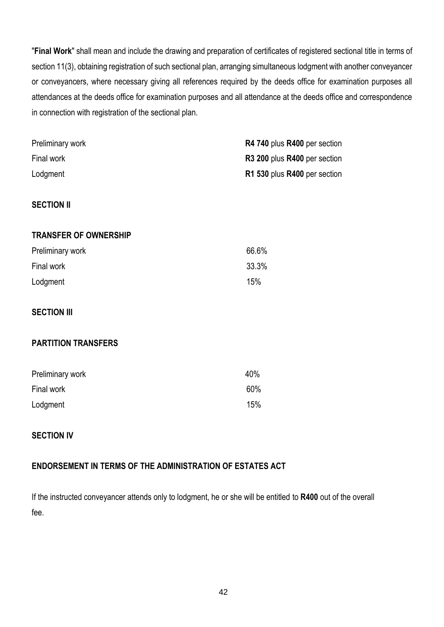"**Final Work**" shall mean and include the drawing and preparation of certificates of registered sectional title in terms of section 11(3), obtaining registration of such sectional plan, arranging simultaneous lodgment with another conveyancer or conveyancers, where necessary giving all references required by the deeds office for examination purposes all attendances at the deeds office for examination purposes and all attendance at the deeds office and correspondence in connection with registration of the sectional plan.

| Preliminary work             | R4 740 plus R400 per section |
|------------------------------|------------------------------|
| Final work                   | R3 200 plus R400 per section |
| Lodgment                     | R1 530 plus R400 per section |
|                              |                              |
| <b>SECTION II</b>            |                              |
|                              |                              |
| <b>TRANSFER OF OWNERSHIP</b> |                              |
| Preliminary work             | 66.6%                        |
| Final work                   | 33.3%                        |
| Lodgment                     | 15%                          |
|                              |                              |
| <b>SECTION III</b>           |                              |
|                              |                              |
| <b>PARTITION TRANSFERS</b>   |                              |
|                              |                              |
| Preliminary work             | 40%                          |
| Final work                   | 60%                          |
| Lodgment                     | 15%                          |
|                              |                              |

## **SECTION IV**

## **ENDORSEMENT IN TERMS OF THE ADMINISTRATION OF ESTATES ACT**

If the instructed conveyancer attends only to lodgment, he or she will be entitled to **R400** out of the overall fee.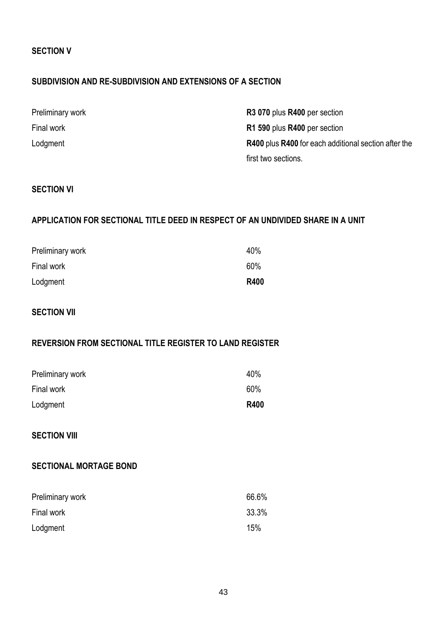### **SECTION V**

### **SUBDIVISION AND RE-SUBDIVISION AND EXTENSIONS OF A SECTION**

| Preliminary work | R3 070 plus R400 per section                         |
|------------------|------------------------------------------------------|
| Final work       | R1 590 plus R400 per section                         |
| Lodgment         | R400 plus R400 for each additional section after the |
|                  | first two sections.                                  |

### **SECTION VI**

## **APPLICATION FOR SECTIONAL TITLE DEED IN RESPECT OF AN UNDIVIDED SHARE IN A UNIT**

| Preliminary work | 40%         |
|------------------|-------------|
| Final work       | 60%         |
| Lodgment         | <b>R400</b> |

### **SECTION VII**

### **REVERSION FROM SECTIONAL TITLE REGISTER TO LAND REGISTER**

| Preliminary work | 40%         |
|------------------|-------------|
| Final work       | 60%         |
| Lodgment         | <b>R400</b> |

### **SECTION VIII**

### **SECTIONAL MORTAGE BOND**

| Preliminary work | 66.6% |
|------------------|-------|
| Final work       | 33.3% |
| Lodgment         | 15%   |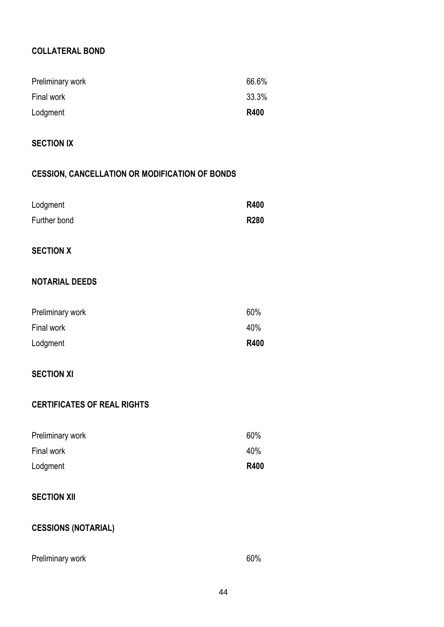## **COLLATERAL BOND**

| Preliminary work | 66.6%       |
|------------------|-------------|
| Final work       | 33.3%       |
| Lodgment         | <b>R400</b> |

## **SECTION IX**

## **CESSION, CANCELLATION OR MODIFICATION OF BONDS**

| Lodgment              | <b>R400</b> |
|-----------------------|-------------|
| Further bond          | <b>R280</b> |
|                       |             |
| <b>SECTION X</b>      |             |
|                       |             |
| <b>NOTARIAL DEEDS</b> |             |
|                       |             |
| Preliminary work      | 60%         |
| Final work            | 40%         |
| Lodgment              | <b>R400</b> |
|                       |             |

## **SECTION XI**

## **CERTIFICATES OF REAL RIGHTS**

| Preliminary work | 60%         |
|------------------|-------------|
| Final work       | 40%         |
| Lodgment         | <b>R400</b> |

## **SECTION XII**

## **CESSIONS (NOTARIAL)**

| Preliminary work | 60% |
|------------------|-----|
|                  |     |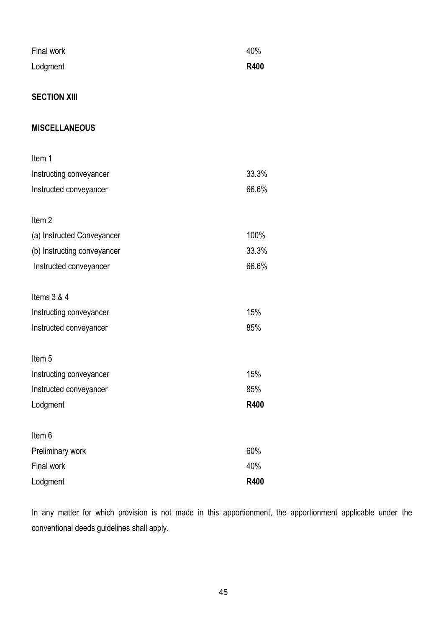| Final work | 40%         |
|------------|-------------|
| Lodgment   | <b>R400</b> |

## **SECTION XIII**

### **MISCELLANEOUS**

| Item 1                      |             |
|-----------------------------|-------------|
| Instructing conveyancer     | 33.3%       |
| Instructed conveyancer      | 66.6%       |
| Item <sub>2</sub>           |             |
| (a) Instructed Conveyancer  | 100%        |
| (b) Instructing conveyancer | 33.3%       |
| Instructed conveyancer      | 66.6%       |
| Items $3 & 4$               |             |
| Instructing conveyancer     | 15%         |
| Instructed conveyancer      | 85%         |
| Item <sub>5</sub>           |             |
| Instructing conveyancer     | 15%         |
| Instructed conveyancer      | 85%         |
| Lodgment                    | <b>R400</b> |
| Item 6                      |             |
| Preliminary work            | 60%         |
| Final work                  | 40%         |
| Lodgment                    | <b>R400</b> |

In any matter for which provision is not made in this apportionment, the apportionment applicable under the conventional deeds guidelines shall apply.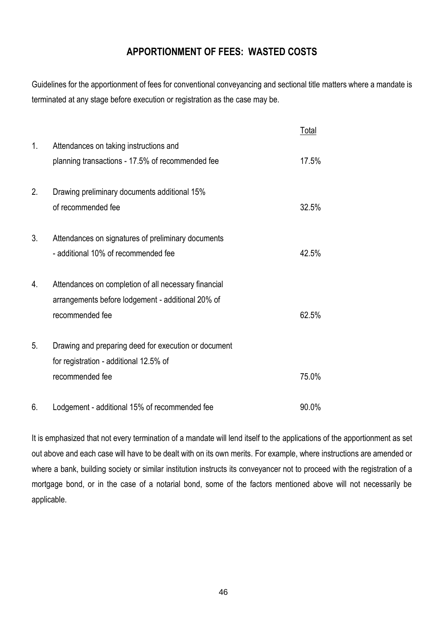## **APPORTIONMENT OF FEES: WASTED COSTS**

Guidelines for the apportionment of fees for conventional conveyancing and sectional title matters where a mandate is terminated at any stage before execution or registration as the case may be.

|    |                                                      | Total |
|----|------------------------------------------------------|-------|
| 1. | Attendances on taking instructions and               |       |
|    | planning transactions - 17.5% of recommended fee     | 17.5% |
|    |                                                      |       |
| 2. | Drawing preliminary documents additional 15%         |       |
|    | of recommended fee                                   | 32.5% |
| 3. | Attendances on signatures of preliminary documents   |       |
|    | - additional 10% of recommended fee                  | 42.5% |
|    |                                                      |       |
| 4. | Attendances on completion of all necessary financial |       |
|    | arrangements before lodgement - additional 20% of    |       |
|    | recommended fee                                      | 62.5% |
| 5. | Drawing and preparing deed for execution or document |       |
|    | for registration - additional 12.5% of               |       |
|    | recommended fee                                      | 75.0% |
|    |                                                      |       |
| 6. | Lodgement - additional 15% of recommended fee        | 90.0% |

It is emphasized that not every termination of a mandate will lend itself to the applications of the apportionment as set out above and each case will have to be dealt with on its own merits. For example, where instructions are amended or where a bank, building society or similar institution instructs its conveyancer not to proceed with the registration of a mortgage bond, or in the case of a notarial bond, some of the factors mentioned above will not necessarily be applicable.